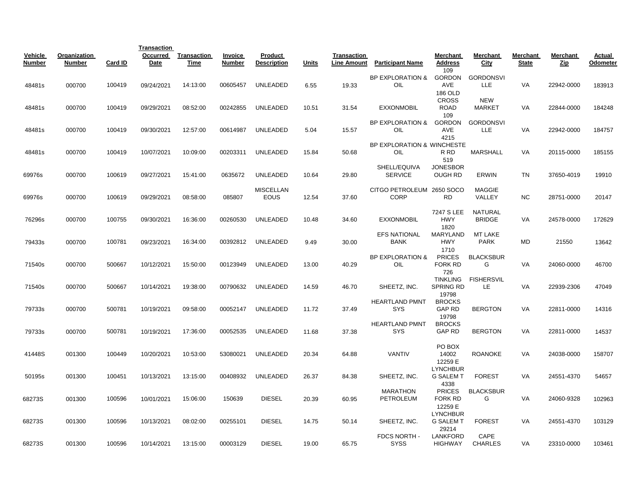|                          |                               |         | <b>Transaction</b>      |                            |                                 |                                 |       |                                          |                                     |                                               |                                 |                          |                        |                    |
|--------------------------|-------------------------------|---------|-------------------------|----------------------------|---------------------------------|---------------------------------|-------|------------------------------------------|-------------------------------------|-----------------------------------------------|---------------------------------|--------------------------|------------------------|--------------------|
| Vehicle<br><b>Number</b> | Organization<br><b>Number</b> | Card ID | Occurred<br><b>Date</b> | Transaction<br><b>Time</b> | <b>Invoice</b><br><b>Number</b> | Product<br><b>Description</b>   | Units | <b>Transaction</b><br><b>Line Amount</b> | <b>Participant Name</b>             | Merchant<br>Address<br>109                    | Merchant<br>City                | Merchant<br><b>State</b> | Merchant<br><u>Zip</u> | Actual<br>Odometer |
| 48481s                   | 000700                        | 100419  | 09/24/2021              | 14:13:00                   | 00605457                        | <b>UNLEADED</b>                 | 6.55  | 19.33                                    | BP EXPLORATION &<br>OIL             | <b>GORDON</b><br>AVE                          | <b>GORDONSVI</b><br>LLE         | VA                       | 22942-0000             | 183913             |
| 48481s                   | 000700                        | 100419  | 09/29/2021              | 08:52:00                   | 00242855                        | <b>UNLEADED</b>                 | 10.51 | 31.54                                    | <b>EXXONMOBIL</b>                   | 186 OLD<br><b>CROSS</b><br><b>ROAD</b><br>109 | <b>NEW</b><br><b>MARKET</b>     | VA                       | 22844-0000             | 184248             |
| 48481s                   | 000700                        | 100419  | 09/30/2021              | 12:57:00                   | 00614987                        | <b>UNLEADED</b>                 | 5.04  | 15.57                                    | BP EXPLORATION &<br>OIL             | <b>GORDON</b><br>AVE<br>4215                  | <b>GORDONSVI</b><br>LLE         | VA                       | 22942-0000             | 184757             |
| 48481s                   | 000700                        | 100419  | 10/07/2021              | 10:09:00                   | 00203311                        | UNLEADED                        | 15.84 | 50.68                                    | BP EXPLORATION & WINCHESTE<br>OIL   | R RD<br>519                                   | <b>MARSHALL</b>                 | VA                       | 20115-0000             | 185155             |
| 69976s                   | 000700                        | 100619  | 09/27/2021              | 15:41:00                   | 0635672                         | <b>UNLEADED</b>                 | 10.64 | 29.80                                    | SHELL/EQUIVA<br><b>SERVICE</b>      | <b>JONESBOR</b><br><b>OUGH RD</b>             | ERWIN                           | <b>TN</b>                | 37650-4019             | 19910              |
| 69976s                   | 000700                        | 100619  | 09/29/2021              | 08:58:00                   | 085807                          | <b>MISCELLAN</b><br><b>EOUS</b> | 12.54 | 37.60                                    | CITGO PETROLEUM<br><b>CORP</b>      | 2650 SOCO<br><b>RD</b>                        | <b>MAGGIE</b><br>VALLEY         | <b>NC</b>                | 28751-0000             | 20147              |
| 76296s                   | 000700                        | 100755  | 09/30/2021              | 16:36:00                   | 00260530                        | <b>UNLEADED</b>                 | 10.48 | 34.60                                    | <b>EXXONMOBIL</b>                   | 7247 S LEE<br><b>HWY</b><br>1820              | <b>NATURAL</b><br><b>BRIDGE</b> | VA                       | 24578-0000             | 172629             |
| 79433s                   | 000700                        | 100781  | 09/23/2021              | 16:34:00                   | 00392812                        | <b>UNLEADED</b>                 | 9.49  | 30.00                                    | <b>EFS NATIONAL</b><br><b>BANK</b>  | MARYLAND<br><b>HWY</b><br>1710                | MT LAKE<br><b>PARK</b>          | MD                       | 21550                  | 13642              |
| 71540s                   | 000700                        | 500667  | 10/12/2021              | 15:50:00                   | 00123949                        | <b>UNLEADED</b>                 | 13.00 | 40.29                                    | <b>BP EXPLORATION &amp;</b><br>OIL  | <b>PRICES</b><br>FORK RD<br>726               | <b>BLACKSBUR</b><br>G           | VA                       | 24060-0000             | 46700              |
| 71540s                   | 000700                        | 500667  | 10/14/2021              | 19:38:00                   | 00790632                        | UNLEADED                        | 14.59 | 46.70                                    | SHEETZ, INC.                        | <b>TINKLING</b><br>SPRING RD<br>19798         | <b>FISHERSVIL</b><br>LE.        | VA                       | 22939-2306             | 47049              |
| 79733s                   | 000700                        | 500781  | 10/19/2021              | 09:58:00                   | 00052147                        | <b>UNLEADED</b>                 | 11.72 | 37.49                                    | <b>HEARTLAND PMNT</b><br><b>SYS</b> | <b>BROCKS</b><br><b>GAP RD</b><br>19798       | <b>BERGTON</b>                  | VA                       | 22811-0000             | 14316              |
| 79733s                   | 000700                        | 500781  | 10/19/2021              | 17:36:00                   | 00052535                        | <b>UNLEADED</b>                 | 11.68 | 37.38                                    | <b>HEARTLAND PMNT</b><br><b>SYS</b> | <b>BROCKS</b><br><b>GAP RD</b>                | <b>BERGTON</b>                  | VA                       | 22811-0000             | 14537              |
| 41448S                   | 001300                        | 100449  | 10/20/2021              | 10:53:00                   | 53080021                        | <b>UNLEADED</b>                 | 20.34 | 64.88                                    | VANTIV                              | PO BOX<br>14002<br>12259 E                    | <b>ROANOKE</b>                  | VA                       | 24038-0000             | 158707             |
| 50195s                   | 001300                        | 100451  | 10/13/2021              | 13:15:00                   | 00408932                        | <b>UNLEADED</b>                 | 26.37 | 84.38                                    | SHEETZ, INC.                        | <b>LYNCHBUR</b><br><b>G SALEM T</b><br>4338   | <b>FOREST</b>                   | VA                       | 24551-4370             | 54657              |
| 68273S                   | 001300                        | 100596  | 10/01/2021              | 15:06:00                   | 150639                          | <b>DIESEL</b>                   | 20.39 | 60.95                                    | <b>MARATHON</b><br>PETROLEUM        | <b>PRICES</b><br><b>FORK RD</b><br>12259 E    | <b>BLACKSBUR</b><br>G           | VA                       | 24060-9328             | 102963             |
| 68273S                   | 001300                        | 100596  | 10/13/2021              | 08:02:00                   | 00255101                        | <b>DIESEL</b>                   | 14.75 | 50.14                                    | SHEETZ, INC.                        | <b>LYNCHBUR</b><br><b>G SALEM T</b><br>29214  | <b>FOREST</b>                   | VA                       | 24551-4370             | 103129             |
| 68273S                   | 001300                        | 100596  | 10/14/2021              | 13:15:00                   | 00003129                        | <b>DIESEL</b>                   | 19.00 | 65.75                                    | FDCS NORTH -<br><b>SYSS</b>         | <b>LANKFORD</b><br><b>HIGHWAY</b>             | CAPE<br><b>CHARLES</b>          | VA                       | 23310-0000             | 103461             |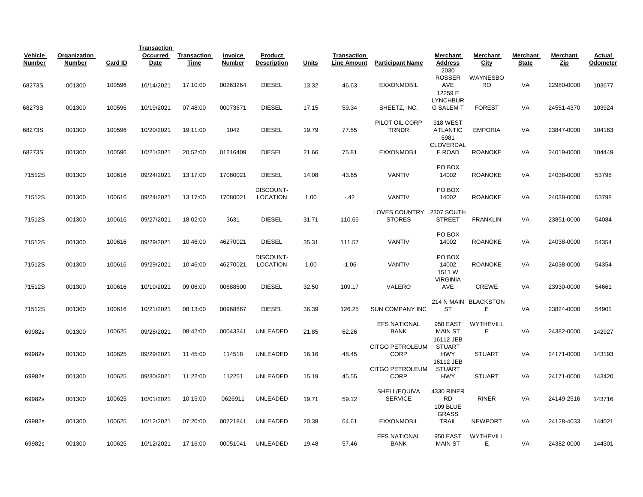|                          |                               |         | <b>Transaction</b> |                     |                          |                               |       |                                   |                                       |                                                |                           |                          |                 |                    |
|--------------------------|-------------------------------|---------|--------------------|---------------------|--------------------------|-------------------------------|-------|-----------------------------------|---------------------------------------|------------------------------------------------|---------------------------|--------------------------|-----------------|--------------------|
| Vehicle<br><b>Number</b> | Organization<br><b>Number</b> | Card ID | Occurred<br>Date   | Transaction<br>Time | Invoice<br><b>Number</b> | Product<br><b>Description</b> | Units | Transaction<br><b>Line Amount</b> | <b>Participant Name</b>               | Merchant<br><b>Address</b><br>2030             | Merchant<br>City          | Merchant<br><b>State</b> | Merchant<br>Zip | Actual<br>Odometer |
| 68273S                   | 001300                        | 100596  | 10/14/2021         | 17:10:00            | 00263264                 | <b>DIESEL</b>                 | 13.32 | 46.63                             | <b>EXXONMOBIL</b>                     | ROSSER<br>AVE<br>12259 E                       | WAYNESBO<br><b>RO</b>     | VA                       | 22980-0000      | 103677             |
| 68273S                   | 001300                        | 100596  | 10/19/2021         | 07:48:00            | 00073671                 | <b>DIESEL</b>                 | 17.15 | 59.34                             | SHEETZ, INC.                          | <b>LYNCHBUR</b><br><b>G SALEM T</b>            | <b>FOREST</b>             | VA                       | 24551-4370      | 103924             |
| 68273S                   | 001300                        | 100596  | 10/20/2021         | 19:11:00            | 1042                     | <b>DIESEL</b>                 | 19.79 | 77.55                             | PILOT OIL CORP<br><b>TRNDR</b>        | <b>918 WEST</b><br><b>ATLANTIC</b><br>5981     | <b>EMPORIA</b>            | VA                       | 23847-0000      | 104163             |
| 68273S                   | 001300                        | 100596  | 10/21/2021         | 20:52:00            | 01216409                 | <b>DIESEL</b>                 | 21.66 | 75.81                             | <b>EXXONMOBIL</b>                     | CLOVERDAL<br>E ROAD                            | <b>ROANOKE</b>            | VA                       | 24019-0000      | 104449             |
| 71512S                   | 001300                        | 100616  | 09/24/2021         | 13:17:00            | 17080021                 | <b>DIESEL</b>                 | 14.08 | 43.65                             | VANTIV                                | PO BOX<br>14002                                | <b>ROANOKE</b>            | VA                       | 24038-0000      | 53798              |
| 71512S                   | 001300                        | 100616  | 09/24/2021         | 13:17:00            | 17080021                 | DISCOUNT-<br><b>LOCATION</b>  | 1.00  | $-42$                             | <b>VANTIV</b>                         | PO BOX<br>14002                                | <b>ROANOKE</b>            | VA                       | 24038-0000      | 53798              |
| 71512S                   | 001300                        | 100616  | 09/27/2021         | 18:02:00            | 3631                     | <b>DIESEL</b>                 | 31.71 | 110.65                            | LOVES COUNTRY<br><b>STORES</b>        | 2307 SOUTH<br><b>STREET</b>                    | <b>FRANKLIN</b>           | VA                       | 23851-0000      | 54084              |
| 71512S                   | 001300                        | 100616  | 09/29/2021         | 10:46:00            | 46270021                 | <b>DIESEL</b>                 | 35.31 | 111.57                            | VANTIV                                | PO BOX<br>14002                                | <b>ROANOKE</b>            | VA                       | 24038-0000      | 54354              |
| 71512S                   | 001300                        | 100616  | 09/29/2021         | 10:46:00            | 46270021                 | DISCOUNT-<br><b>LOCATION</b>  | 1.00  | $-1.06$                           | <b>VANTIV</b>                         | PO BOX<br>14002<br>1511 W<br><b>VIRGINIA</b>   | <b>ROANOKE</b>            | VA                       | 24038-0000      | 54354              |
| 71512S                   | 001300                        | 100616  | 10/19/2021         | 09:06:00            | 00688500                 | <b>DIESEL</b>                 | 32.50 | 109.17                            | VALERO                                | AVE                                            | <b>CREWE</b>              | VA                       | 23930-0000      | 54661              |
| 71512S                   | 001300                        | 100616  | 10/21/2021         | 08:13:00            | 00968867                 | <b>DIESEL</b>                 | 36.39 | 126.25                            | <b>SUN COMPANY INC</b>                | <b>ST</b>                                      | 214 N MAIN BLACKSTON<br>Е | VA                       | 23824-0000      | 54901              |
| 69982s                   | 001300                        | 100625  | 09/28/2021         | 08:42:00            | 00043341                 | <b>UNLEADED</b>               | 21.85 | 62.26                             | <b>EFS NATIONAL</b><br><b>BANK</b>    | <b>950 EAST</b><br><b>MAIN ST</b><br>16112 JEB | WYTHEVILL<br>Е            | VA                       | 24382-0000      | 142927             |
| 69982s                   | 001300                        | 100625  | 09/29/2021         | 11:45:00            | 114518                   | <b>UNLEADED</b>               | 16.16 | 48.45                             | <b>CITGO PETROLEUM</b><br>CORP        | <b>STUART</b><br><b>HWY</b><br>16112 JEB       | <b>STUART</b>             | VA                       | 24171-0000      | 143193             |
| 69982s                   | 001300                        | 100625  | 09/30/2021         | 11:22:00            | 112251                   | <b>UNLEADED</b>               | 15.19 | 45.55                             | <b>CITGO PETROLEUM</b><br><b>CORP</b> | <b>STUART</b><br><b>HWY</b>                    | <b>STUART</b>             | VA                       | 24171-0000      | 143420             |
| 69982s                   | 001300                        | 100625  | 10/01/2021         | 10:15:00            | 0626911                  | <b>UNLEADED</b>               | 19.71 | 59.12                             | SHELL/EQUIVA<br><b>SERVICE</b>        | 4330 RINER<br><b>RD</b><br><b>109 BLUE</b>     | <b>RINER</b>              | VA                       | 24149-2516      | 143716             |
| 69982s                   | 001300                        | 100625  | 10/12/2021         | 07:20:00            | 00721841                 | UNLEADED                      | 20.38 | 64.61                             | <b>EXXONMOBIL</b>                     | <b>GRASS</b><br><b>TRAIL</b>                   | <b>NEWPORT</b>            | VA                       | 24128-4033      | 144021             |
| 69982s                   | 001300                        | 100625  | 10/12/2021         | 17:16:00            | 00051041                 | UNLEADED                      | 19.48 | 57.46                             | <b>EFS NATIONAL</b><br><b>BANK</b>    | 950 EAST<br><b>MAIN ST</b>                     | WYTHEVILL<br>Е            | VA                       | 24382-0000      | 144301             |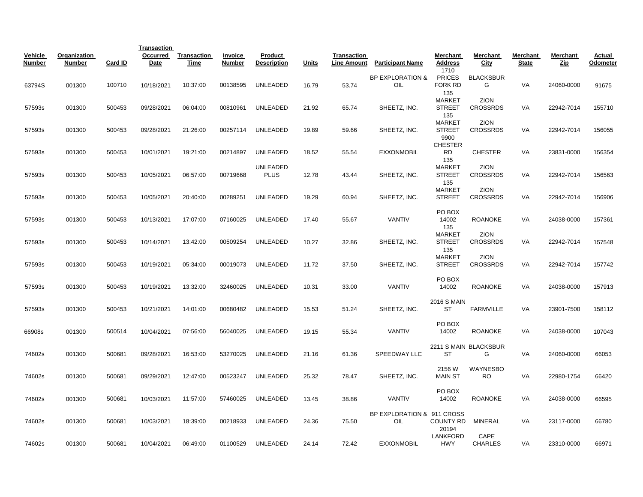|                          |                               |         | <b>Transaction</b> |                            |                   |                               |              |                                   |                                    |                                               |                                |                          |                        |                    |
|--------------------------|-------------------------------|---------|--------------------|----------------------------|-------------------|-------------------------------|--------------|-----------------------------------|------------------------------------|-----------------------------------------------|--------------------------------|--------------------------|------------------------|--------------------|
| Vehicle<br><b>Number</b> | Organization<br><b>Number</b> | Card ID | Occurred<br>Date   | <b>Transaction</b><br>Time | Invoice<br>Number | Product<br><b>Description</b> | <b>Units</b> | Transaction<br><b>Line Amount</b> | <b>Participant Name</b>            | Merchant<br><b>Address</b>                    | Merchant<br>City               | Merchant<br><b>State</b> | Merchant<br><u>Zip</u> | Actual<br>Odometer |
| 63794S                   | 001300                        | 100710  | 10/18/2021         | 10:37:00                   | 00138595          | UNLEADED                      | 16.79        | 53.74                             | <b>BP EXPLORATION &amp;</b><br>OIL | 1710<br><b>PRICES</b><br><b>FORK RD</b>       | <b>BLACKSBUR</b><br>G          | VA                       | 24060-0000             | 91675              |
| 57593s                   | 001300                        | 500453  | 09/28/2021         | 06:04:00                   | 00810961          | <b>UNLEADED</b>               | 21.92        | 65.74                             | SHEETZ, INC.                       | 135<br><b>MARKET</b><br><b>STREET</b>         | <b>ZION</b><br><b>CROSSRDS</b> | VA                       | 22942-7014             | 155710             |
| 57593s                   | 001300                        | 500453  | 09/28/2021         | 21:26:00                   | 00257114          | UNLEADED                      | 19.89        | 59.66                             | SHEETZ, INC.                       | 135<br><b>MARKET</b><br><b>STREET</b><br>9900 | ZION<br><b>CROSSRDS</b>        | VA                       | 22942-7014             | 156055             |
| 57593s                   | 001300                        | 500453  | 10/01/2021         | 19:21:00                   | 00214897          | UNLEADED                      | 18.52        | 55.54                             | <b>EXXONMOBIL</b>                  | <b>CHESTER</b><br><b>RD</b><br>135            | <b>CHESTER</b>                 | VA                       | 23831-0000             | 156354             |
| 57593s                   | 001300                        | 500453  | 10/05/2021         | 06:57:00                   | 00719668          | UNLEADED<br><b>PLUS</b>       | 12.78        | 43.44                             | SHEETZ, INC.                       | <b>MARKET</b><br><b>STREET</b><br>135         | ZION<br><b>CROSSRDS</b>        | VA                       | 22942-7014             | 156563             |
| 57593s                   | 001300                        | 500453  | 10/05/2021         | 20:40:00                   | 00289251          | UNLEADED                      | 19.29        | 60.94                             | SHEETZ, INC.                       | <b>MARKET</b><br>STREET                       | <b>ZION</b><br><b>CROSSRDS</b> | VA                       | 22942-7014             | 156906             |
| 57593s                   | 001300                        | 500453  | 10/13/2021         | 17:07:00                   | 07160025          | <b>UNLEADED</b>               | 17.40        | 55.67                             | VANTIV                             | PO BOX<br>14002<br>135                        | <b>ROANOKE</b>                 | VA                       | 24038-0000             | 157361             |
| 57593s                   | 001300                        | 500453  | 10/14/2021         | 13:42:00                   | 00509254          | UNLEADED                      | 10.27        | 32.86                             | SHEETZ, INC.                       | <b>MARKET</b><br>STREET<br>135                | ZION<br><b>CROSSRDS</b>        | VA                       | 22942-7014             | 157548             |
| 57593s                   | 001300                        | 500453  | 10/19/2021         | 05:34:00                   | 00019073          | <b>UNLEADED</b>               | 11.72        | 37.50                             | SHEETZ, INC.                       | MARKET<br>STREET                              | <b>ZION</b><br><b>CROSSRDS</b> | VA                       | 22942-7014             | 157742             |
| 57593s                   | 001300                        | 500453  | 10/19/2021         | 13:32:00                   | 32460025          | <b>UNLEADED</b>               | 10.31        | 33.00                             | <b>VANTIV</b>                      | PO BOX<br>14002                               | <b>ROANOKE</b>                 | VA                       | 24038-0000             | 157913             |
| 57593s                   | 001300                        | 500453  | 10/21/2021         | 14:01:00                   | 00680482          | <b>UNLEADED</b>               | 15.53        | 51.24                             | SHEETZ, INC.                       | <b>2016 S MAIN</b><br><b>ST</b>               | <b>FARMVILLE</b>               | <b>VA</b>                | 23901-7500             | 158112             |
| 66908s                   | 001300                        | 500514  | 10/04/2021         | 07:56:00                   | 56040025          | UNLEADED                      | 19.15        | 55.34                             | <b>VANTIV</b>                      | PO BOX<br>14002                               | <b>ROANOKE</b>                 | <b>VA</b>                | 24038-0000             | 107043             |
| 74602s                   | 001300                        | 500681  | 09/28/2021         | 16:53:00                   | 53270025          | <b>UNLEADED</b>               | 21.16        | 61.36                             | SPEEDWAY LLC                       | <b>ST</b>                                     | 2211 S MAIN BLACKSBUR<br>G     | VA                       | 24060-0000             | 66053              |
| 74602s                   | 001300                        | 500681  | 09/29/2021         | 12:47:00                   | 00523247          | UNLEADED                      | 25.32        | 78.47                             | SHEETZ, INC.                       | 2156 W<br><b>MAIN ST</b>                      | WAYNESBO<br><b>RO</b>          | VA                       | 22980-1754             | 66420              |
| 74602s                   | 001300                        | 500681  | 10/03/2021         | 11:57:00                   | 57460025          | <b>UNLEADED</b>               | 13.45        | 38.86                             | <b>VANTIV</b>                      | PO BOX<br>14002                               | <b>ROANOKE</b>                 | VA                       | 24038-0000             | 66595              |
| 74602s                   | 001300                        | 500681  | 10/03/2021         | 18:39:00                   | 00218933          | UNLEADED                      | 24.36        | 75.50                             | BP EXPLORATION & 911 CROSS<br>OIL  | <b>COUNTY RD</b><br>20194                     | MINERAL                        | VA                       | 23117-0000             | 66780              |
| 74602s                   | 001300                        | 500681  | 10/04/2021         | 06:49:00                   | 01100529          | UNLEADED                      | 24.14        | 72.42                             | <b>EXXONMOBIL</b>                  | <b>LANKFORD</b><br><b>HWY</b>                 | CAPE<br><b>CHARLES</b>         | VA                       | 23310-0000             | 66971              |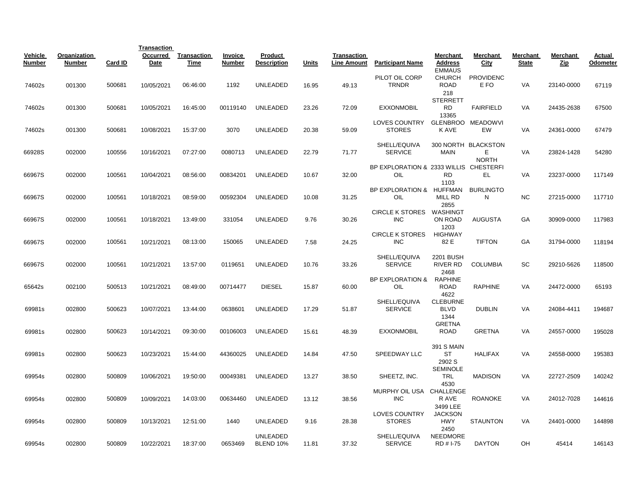|                   |                               |         | <b>Transaction</b> |                            |                   |                               |       |                                   |                                               |                                               |                                          |                          |                 |                    |
|-------------------|-------------------------------|---------|--------------------|----------------------------|-------------------|-------------------------------|-------|-----------------------------------|-----------------------------------------------|-----------------------------------------------|------------------------------------------|--------------------------|-----------------|--------------------|
| Vehicle<br>Number | Organization<br><b>Number</b> | Card ID | Occurred<br>Date   | <b>Transaction</b><br>Time | Invoice<br>Number | Product<br><b>Description</b> | Units | Transaction<br><b>Line Amount</b> | <b>Participant Name</b>                       | Merchant<br><b>Address</b>                    | Merchant<br>City                         | Merchant<br><b>State</b> | Merchant<br>Zip | Actual<br>Odometer |
| 74602s            | 001300                        | 500681  | 10/05/2021         | 06:46:00                   | 1192              | UNLEADED                      | 16.95 | 49.13                             | PILOT OIL CORP<br><b>TRNDR</b>                | <b>EMMAUS</b><br><b>CHURCH</b><br><b>ROAD</b> | <b>PROVIDENC</b><br>E FO                 | VA                       | 23140-0000      | 67119              |
| 74602s            | 001300                        | 500681  | 10/05/2021         | 16:45:00                   | 00119140          | UNLEADED                      | 23.26 | 72.09                             | <b>EXXONMOBIL</b>                             | 218<br><b>STERRETT</b><br><b>RD</b>           | <b>FAIRFIELD</b>                         | VA                       | 24435-2638      | 67500              |
| 74602s            | 001300                        | 500681  | 10/08/2021         | 15:37:00                   | 3070              | UNLEADED                      | 20.38 | 59.09                             | LOVES COUNTRY<br><b>STORES</b>                | 13365<br>K AVE                                | GLENBROO MEADOWVI<br>EW                  | VA                       | 24361-0000      | 67479              |
| 66928S            | 002000                        | 100556  | 10/16/2021         | 07:27:00                   | 0080713           | <b>UNLEADED</b>               | 22.79 | 71.77                             | SHELL/EQUIVA<br><b>SERVICE</b>                | <b>MAIN</b>                                   | 300 NORTH BLACKSTON<br>Е<br><b>NORTH</b> | VA                       | 23824-1428      | 54280              |
| 66967S            | 002000                        | 100561  | 10/04/2021         | 08:56:00                   | 00834201          | <b>UNLEADED</b>               | 10.67 | 32.00                             | BP EXPLORATION & 2333 WILLIS CHESTERFI<br>OIL | <b>RD</b><br>1103                             | EL                                       | VA                       | 23237-0000      | 117149             |
| 66967S            | 002000                        | 100561  | 10/18/2021         | 08:59:00                   | 00592304          | <b>UNLEADED</b>               | 10.08 | 31.25                             | BP EXPLORATION & HUFFMAN<br>OIL               | MILL RD<br>2855                               | <b>BURLINGTO</b><br>N                    | <b>NC</b>                | 27215-0000      | 117710             |
| 66967S            | 002000                        | 100561  | 10/18/2021         | 13:49:00                   | 331054            | UNLEADED                      | 9.76  | 30.26                             | CIRCLE K STORES WASHINGT<br><b>INC</b>        | ON ROAD<br>1203                               | <b>AUGUSTA</b>                           | GA                       | 30909-0000      | 117983             |
| 66967S            | 002000                        | 100561  | 10/21/2021         | 08:13:00                   | 150065            | <b>UNLEADED</b>               | 7.58  | 24.25                             | <b>CIRCLE K STORES</b><br><b>INC</b>          | HIGHWAY<br>82 E                               | <b>TIFTON</b>                            | GA                       | 31794-0000      | 118194             |
| 66967S            | 002000                        | 100561  | 10/21/2021         | 13:57:00                   | 0119651           | UNLEADED                      | 10.76 | 33.26                             | SHELL/EQUIVA<br><b>SERVICE</b>                | 2201 BUSH<br><b>RIVER RD</b>                  | <b>COLUMBIA</b>                          | SC                       | 29210-5626      | 118500             |
| 65642s            | 002100                        | 500513  | 10/21/2021         | 08:49:00                   | 00714477          | <b>DIESEL</b>                 | 15.87 | 60.00                             | <b>BP EXPLORATION &amp;</b><br>OIL            | 2468<br><b>RAPHINE</b><br><b>ROAD</b><br>4622 | <b>RAPHINE</b>                           | VA                       | 24472-0000      | 65193              |
| 69981s            | 002800                        | 500623  | 10/07/2021         | 13:44:00                   | 0638601           | <b>UNLEADED</b>               | 17.29 | 51.87                             | SHELL/EQUIVA<br><b>SERVICE</b>                | <b>CLEBURNE</b><br><b>BLVD</b>                | <b>DUBLIN</b>                            | VA                       | 24084-4411      | 194687             |
| 69981s            | 002800                        | 500623  | 10/14/2021         | 09:30:00                   | 00106003          | UNLEADED                      | 15.61 | 48.39                             | <b>EXXONMOBIL</b>                             | 1344<br><b>GRETNA</b><br><b>ROAD</b>          | <b>GRETNA</b>                            | VA                       | 24557-0000      | 195028             |
| 69981s            | 002800                        | 500623  | 10/23/2021         | 15:44:00                   | 44360025          | UNLEADED                      | 14.84 | 47.50                             | SPEEDWAY LLC                                  | <b>391 S MAIN</b><br><b>ST</b><br>2902 S      | <b>HALIFAX</b>                           | VA                       | 24558-0000      | 195383             |
| 69954s            | 002800                        | 500809  | 10/06/2021         | 19:50:00                   | 00049381          | UNLEADED                      | 13.27 | 38.50                             | SHEETZ, INC.                                  | <b>SEMINOLE</b><br><b>TRL</b><br>4530         | <b>MADISON</b>                           | VA                       | 22727-2509      | 140242             |
| 69954s            | 002800                        | 500809  | 10/09/2021         | 14:03:00                   | 00634460          | UNLEADED                      | 13.12 | 38.56                             | MURPHY OIL USA CHALLENGE<br><b>INC</b>        | R AVE<br>3499 LEE                             | <b>ROANOKE</b>                           | VA                       | 24012-7028      | 144616             |
| 69954s            | 002800                        | 500809  | 10/13/2021         | 12:51:00                   | 1440              | <b>UNLEADED</b>               | 9.16  | 28.38                             | <b>LOVES COUNTRY</b><br><b>STORES</b>         | <b>JACKSON</b><br><b>HWY</b><br>2450          | <b>STAUNTON</b>                          | VA                       | 24401-0000      | 144898             |
| 69954s            | 002800                        | 500809  | 10/22/2021         | 18:37:00                   | 0653469           | <b>UNLEADED</b><br>BLEND 10%  | 11.81 | 37.32                             | SHELL/EQUIVA<br><b>SERVICE</b>                | <b>NEEDMORE</b><br>RD # I-75                  | <b>DAYTON</b>                            | OН                       | 45414           | 146143             |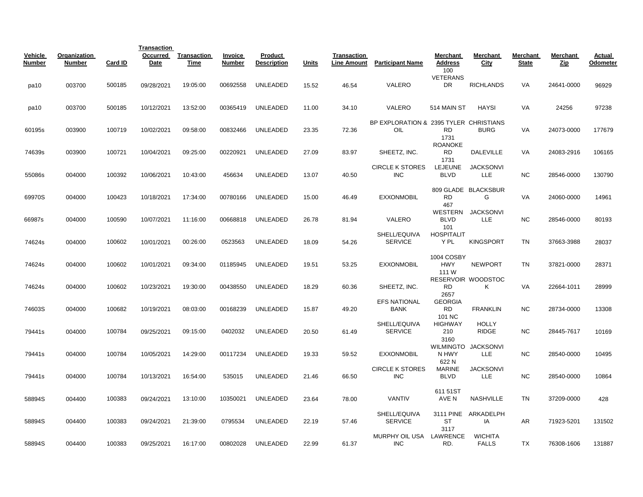|                          |                               |         | <b>Transaction</b> |                     |                          |                               |       |                                          |                                               |                                   |                                 |                          |                 |                    |
|--------------------------|-------------------------------|---------|--------------------|---------------------|--------------------------|-------------------------------|-------|------------------------------------------|-----------------------------------------------|-----------------------------------|---------------------------------|--------------------------|-----------------|--------------------|
| Vehicle<br><b>Number</b> | Organization<br><b>Number</b> | Card ID | Occurred<br>Date   | Transaction<br>Time | Invoice<br><b>Number</b> | Product<br><b>Description</b> | Units | <b>Transaction</b><br><b>Line Amount</b> | <b>Participant Name</b>                       | Merchant<br><b>Address</b><br>100 | Merchant<br>City                | Merchant<br><b>State</b> | Merchant<br>Zip | Actual<br>Odometer |
| pa10                     | 003700                        | 500185  | 09/28/2021         | 19:05:00            | 00692558                 | <b>UNLEADED</b>               | 15.52 | 46.54                                    | VALERO                                        | <b>VETERANS</b><br>DR             | <b>RICHLANDS</b>                | VA                       | 24641-0000      | 96929              |
| pa10                     | 003700                        | 500185  | 10/12/2021         | 13:52:00            | 00365419                 | UNLEADED                      | 11.00 | 34.10                                    | VALERO                                        | 514 MAIN ST                       | <b>HAYSI</b>                    | VA                       | 24256           | 97238              |
| 60195s                   | 003900                        | 100719  | 10/02/2021         | 09:58:00            | 00832466                 | <b>UNLEADED</b>               | 23.35 | 72.36                                    | BP EXPLORATION & 2395 TYLER CHRISTIANS<br>OIL | <b>RD</b><br>1731                 | <b>BURG</b>                     | VA                       | 24073-0000      | 177679             |
| 74639s                   | 003900                        | 100721  | 10/04/2021         | 09:25:00            | 00220921                 | UNLEADED                      | 27.09 | 83.97                                    | SHEETZ, INC.                                  | <b>ROANOKE</b><br>RD<br>1731      | <b>DALEVILLE</b>                | VA                       | 24083-2916      | 106165             |
| 55086s                   | 004000                        | 100392  | 10/06/2021         | 10:43:00            | 456634                   | UNLEADED                      | 13.07 | 40.50                                    | <b>CIRCLE K STORES</b><br><b>INC</b>          | <b>LEJEUNE</b><br><b>BLVD</b>     | <b>JACKSONVI</b><br>LLE         | <b>NC</b>                | 28546-0000      | 130790             |
| 69970S                   | 004000                        | 100423  | 10/18/2021         | 17:34:00            | 00780166                 | UNLEADED                      | 15.00 | 46.49                                    | <b>EXXONMOBIL</b>                             | <b>RD</b><br>467                  | 809 GLADE BLACKSBUR<br>G        | VA                       | 24060-0000      | 14961              |
| 66987s                   | 004000                        | 100590  | 10/07/2021         | 11:16:00            | 00668818                 | <b>UNLEADED</b>               | 26.78 | 81.94                                    | VALERO                                        | <b>BLVD</b><br>101                | WESTERN JACKSONVI<br><b>LLE</b> | <b>NC</b>                | 28546-0000      | 80193              |
| 74624s                   | 004000                        | 100602  | 10/01/2021         | 00:26:00            | 0523563                  | UNLEADED                      | 18.09 | 54.26                                    | SHELL/EQUIVA<br><b>SERVICE</b>                | <b>HOSPITALIT</b><br>Y PL         | <b>KINGSPORT</b>                | <b>TN</b>                | 37663-3988      | 28037              |
| 74624s                   | 004000                        | 100602  | 10/01/2021         | 09:34:00            | 01185945                 | UNLEADED                      | 19.51 | 53.25                                    | <b>EXXONMOBIL</b>                             | 1004 COSBY<br><b>HWY</b><br>111 W | <b>NEWPORT</b>                  | <b>TN</b>                | 37821-0000      | 28371              |
| 74624s                   | 004000                        | 100602  | 10/23/2021         | 19:30:00            | 00438550                 | UNLEADED                      | 18.29 | 60.36                                    | SHEETZ, INC.                                  | <b>RD</b><br>2657                 | RESERVOIR WOODSTOC<br>Κ         | VA                       | 22664-1011      | 28999              |
| 74603S                   | 004000                        | 100682  | 10/19/2021         | 08:03:00            | 00168239                 | <b>UNLEADED</b>               | 15.87 | 49.20                                    | <b>EFS NATIONAL</b><br><b>BANK</b>            | <b>GEORGIA</b><br>RD<br>101 NC    | <b>FRANKLIN</b>                 | <b>NC</b>                | 28734-0000      | 13308              |
| 79441s                   | 004000                        | 100784  | 09/25/2021         | 09:15:00            | 0402032                  | <b>UNLEADED</b>               | 20.50 | 61.49                                    | SHELL/EQUIVA<br><b>SERVICE</b>                | <b>HIGHWAY</b><br>210<br>3160     | <b>HOLLY</b><br><b>RIDGE</b>    | <b>NC</b>                | 28445-7617      | 10169              |
| 79441s                   | 004000                        | 100784  | 10/05/2021         | 14:29:00            | 00117234                 | UNLEADED                      | 19.33 | 59.52                                    | <b>EXXONMOBIL</b>                             | N HWY<br>622N                     | WILMINGTO JACKSONVI<br>LLE      | <b>NC</b>                | 28540-0000      | 10495              |
| 79441s                   | 004000                        | 100784  | 10/13/2021         | 16:54:00            | 535015                   | UNLEADED                      | 21.46 | 66.50                                    | <b>CIRCLE K STORES</b><br><b>INC</b>          | <b>MARINE</b><br><b>BLVD</b>      | <b>JACKSONVI</b><br><b>LLE</b>  | <b>NC</b>                | 28540-0000      | 10864              |
| 58894S                   | 004400                        | 100383  | 09/24/2021         | 13:10:00            | 10350021                 | <b>UNLEADED</b>               | 23.64 | 78.00                                    | <b>VANTIV</b>                                 | 611 51ST<br>AVE N                 | <b>NASHVILLE</b>                | <b>TN</b>                | 37209-0000      | 428                |
| 58894S                   | 004400                        | 100383  | 09/24/2021         | 21:39:00            | 0795534                  | <b>UNLEADED</b>               | 22.19 | 57.46                                    | SHELL/EQUIVA<br><b>SERVICE</b>                | 3111 PINE<br>ST<br>3117           | ARKADELPH<br>IA                 | AR                       | 71923-5201      | 131502             |
| 58894S                   | 004400                        | 100383  | 09/25/2021         | 16:17:00            | 00802028                 | UNLEADED                      | 22.99 | 61.37                                    | MURPHY OIL USA LAWRENCE<br><b>INC</b>         | RD.                               | <b>WICHITA</b><br><b>FALLS</b>  | TX                       | 76308-1606      | 131887             |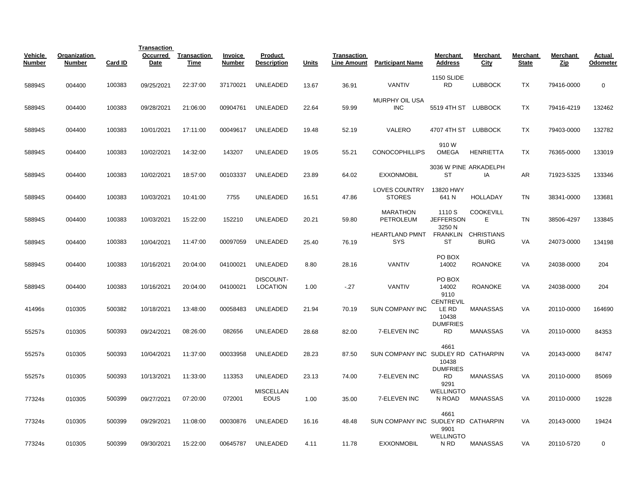|                          |                               |         | <b>Transaction</b> |                            |                                 |                                 |       |                                   |                                     |                                      |                                    |                          |                 |                    |
|--------------------------|-------------------------------|---------|--------------------|----------------------------|---------------------------------|---------------------------------|-------|-----------------------------------|-------------------------------------|--------------------------------------|------------------------------------|--------------------------|-----------------|--------------------|
| Vehicle<br><b>Number</b> | Organization<br><b>Number</b> | Card ID | Occurred<br>Date   | <b>Transaction</b><br>Time | <b>Invoice</b><br><b>Number</b> | Product<br><b>Description</b>   | Units | Transaction<br><b>Line Amount</b> | <b>Participant Name</b>             | Merchant<br><b>Address</b>           | Merchant<br><b>City</b>            | Merchant<br><b>State</b> | Merchant<br>Zip | Actual<br>Odometer |
| 58894S                   | 004400                        | 100383  | 09/25/2021         | 22:37:00                   | 37170021                        | <b>UNLEADED</b>                 | 13.67 | 36.91                             | <b>VANTIV</b>                       | <b>1150 SLIDE</b><br><b>RD</b>       | <b>LUBBOCK</b>                     | TX                       | 79416-0000      | $\mathbf 0$        |
| 58894S                   | 004400                        | 100383  | 09/28/2021         | 21:06:00                   | 00904761                        | UNLEADED                        | 22.64 | 59.99                             | MURPHY OIL USA<br><b>INC</b>        | 5519 4TH ST LUBBOCK                  |                                    | TX                       | 79416-4219      | 132462             |
| 58894S                   | 004400                        | 100383  | 10/01/2021         | 17:11:00                   | 00049617                        | UNLEADED                        | 19.48 | 52.19                             | VALERO                              | 4707 4TH ST LUBBOCK                  |                                    | TX                       | 79403-0000      | 132782             |
| 58894S                   | 004400                        | 100383  | 10/02/2021         | 14:32:00                   | 143207                          | <b>UNLEADED</b>                 | 19.05 | 55.21                             | <b>CONOCOPHILLIPS</b>               | 910 W<br><b>OMEGA</b>                | <b>HENRIETTA</b>                   | TX                       | 76365-0000      | 133019             |
| 58894S                   | 004400                        | 100383  | 10/02/2021         | 18:57:00                   | 00103337                        | <b>UNLEADED</b>                 | 23.89 | 64.02                             | <b>EXXONMOBIL</b>                   | <b>ST</b>                            | 3036 W PINE ARKADELPH<br>IA        | AR                       | 71923-5325      | 133346             |
| 58894S                   | 004400                        | 100383  | 10/03/2021         | 10:41:00                   | 7755                            | <b>UNLEADED</b>                 | 16.51 | 47.86                             | LOVES COUNTRY<br><b>STORES</b>      | 13820 HWY<br>641 N                   | <b>HOLLADAY</b>                    | <b>TN</b>                | 38341-0000      | 133681             |
| 58894S                   | 004400                        | 100383  | 10/03/2021         | 15:22:00                   | 152210                          | <b>UNLEADED</b>                 | 20.21 | 59.80                             | <b>MARATHON</b><br>PETROLEUM        | 1110 S<br><b>JEFFERSON</b><br>3250 N | <b>COOKEVILL</b><br>E              | <b>TN</b>                | 38506-4297      | 133845             |
| 58894S                   | 004400                        | 100383  | 10/04/2021         | 11:47:00                   | 00097059                        | <b>UNLEADED</b>                 | 25.40 | 76.19                             | <b>HEARTLAND PMNT</b><br>SYS        | <b>ST</b>                            | FRANKLIN CHRISTIANS<br><b>BURG</b> | <b>VA</b>                | 24073-0000      | 134198             |
| 58894S                   | 004400                        | 100383  | 10/16/2021         | 20:04:00                   | 04100021                        | UNLEADED                        | 8.80  | 28.16                             | <b>VANTIV</b>                       | PO BOX<br>14002                      | <b>ROANOKE</b>                     | VA                       | 24038-0000      | 204                |
| 58894S                   | 004400                        | 100383  | 10/16/2021         | 20:04:00                   | 04100021                        | DISCOUNT-<br><b>LOCATION</b>    | 1.00  | $-.27$                            | <b>VANTIV</b>                       | PO BOX<br>14002<br>9110              | <b>ROANOKE</b>                     | <b>VA</b>                | 24038-0000      | 204                |
| 41496s                   | 010305                        | 500382  | 10/18/2021         | 13:48:00                   | 00058483                        | UNLEADED                        | 21.94 | 70.19                             | <b>SUN COMPANY INC</b>              | <b>CENTREVIL</b><br>LE RD<br>10438   | <b>MANASSAS</b>                    | VA                       | 20110-0000      | 164690             |
| 55257s                   | 010305                        | 500393  | 09/24/2021         | 08:26:00                   | 082656                          | <b>UNLEADED</b>                 | 28.68 | 82.00                             | 7-ELEVEN INC                        | <b>DUMFRIES</b><br><b>RD</b>         | <b>MANASSAS</b>                    | VA                       | 20110-0000      | 84353              |
| 55257s                   | 010305                        | 500393  | 10/04/2021         | 11:37:00                   | 00033958                        | UNLEADED                        | 28.23 | 87.50                             | SUN COMPANY INC SUDLEY RD CATHARPIN | 4661<br>10438                        |                                    | VA                       | 20143-0000      | 84747              |
| 55257s                   | 010305                        | 500393  | 10/13/2021         | 11:33:00                   | 113353                          | <b>UNLEADED</b>                 | 23.13 | 74.00                             | 7-ELEVEN INC                        | <b>DUMFRIES</b><br><b>RD</b><br>9291 | <b>MANASSAS</b>                    | VA                       | 20110-0000      | 85069              |
| 77324s                   | 010305                        | 500399  | 09/27/2021         | 07:20:00                   | 072001                          | <b>MISCELLAN</b><br><b>EOUS</b> | 1.00  | 35.00                             | 7-ELEVEN INC                        | <b>WELLINGTO</b><br>N ROAD           | MANASSAS                           | VA                       | 20110-0000      | 19228              |
| 77324s                   | 010305                        | 500399  | 09/29/2021         | 11:08:00                   | 00030876                        | UNLEADED                        | 16.16 | 48.48                             | SUN COMPANY INC SUDLEY RD CATHARPIN | 4661<br>9901                         |                                    | VA                       | 20143-0000      | 19424              |
| 77324s                   | 010305                        | 500399  | 09/30/2021         | 15:22:00                   | 00645787                        | UNLEADED                        | 4.11  | 11.78                             | <b>EXXONMOBIL</b>                   | <b>WELLINGTO</b><br>N <sub>RD</sub>  | <b>MANASSAS</b>                    | VA                       | 20110-5720      | 0                  |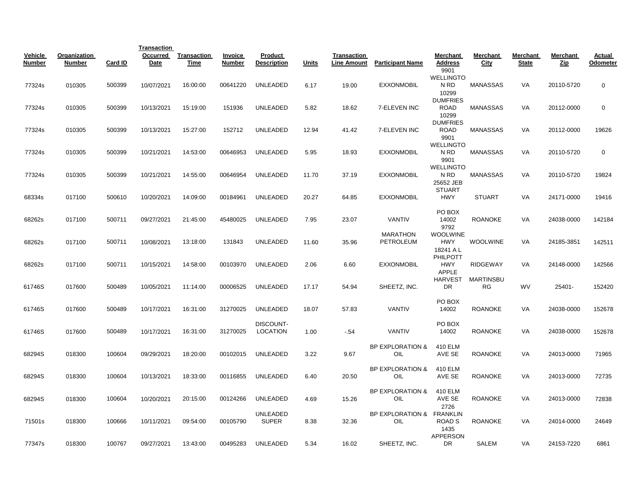|                          |                        |         | <b>Transaction</b> |                            |                          |                               |              |                                   |                                    |                                    |                        |                          |                 |                    |
|--------------------------|------------------------|---------|--------------------|----------------------------|--------------------------|-------------------------------|--------------|-----------------------------------|------------------------------------|------------------------------------|------------------------|--------------------------|-----------------|--------------------|
| Vehicle<br><b>Number</b> | Organization<br>Number | Card ID | Occurred<br>Date   | <b>Transaction</b><br>Time | <b>Invoice</b><br>Number | Product<br><b>Description</b> | <b>Units</b> | Transaction<br><b>Line Amount</b> | <b>Participant Name</b>            | Merchant<br><b>Address</b><br>9901 | Merchant<br>City       | Merchant<br><b>State</b> | Merchant<br>Zip | Actual<br>Odometer |
|                          |                        |         |                    |                            |                          |                               |              |                                   |                                    | <b>WELLINGTO</b>                   |                        |                          |                 |                    |
| 77324s                   | 010305                 | 500399  | 10/07/2021         | 16:00:00                   | 00641220                 | UNLEADED                      | 6.17         | 19.00                             | <b>EXXONMOBIL</b>                  | N RD                               | <b>MANASSAS</b>        | VA                       | 20110-5720      | 0                  |
|                          |                        |         |                    |                            |                          |                               |              |                                   |                                    | 10299                              |                        |                          |                 |                    |
| 77324s                   | 010305                 | 500399  | 10/13/2021         | 15:19:00                   | 151936                   | <b>UNLEADED</b>               | 5.82         | 18.62                             | 7-ELEVEN INC                       | <b>DUMFRIES</b><br><b>ROAD</b>     | <b>MANASSAS</b>        | VA                       | 20112-0000      | 0                  |
|                          |                        |         |                    |                            |                          |                               |              |                                   |                                    | 10299                              |                        |                          |                 |                    |
|                          |                        |         |                    |                            |                          |                               |              |                                   |                                    | <b>DUMFRIES</b>                    |                        |                          |                 |                    |
| 77324s                   | 010305                 | 500399  | 10/13/2021         | 15:27:00                   | 152712                   | <b>UNLEADED</b>               | 12.94        | 41.42                             | 7-ELEVEN INC                       | <b>ROAD</b>                        | MANASSAS               | VA                       | 20112-0000      | 19626              |
|                          |                        |         |                    |                            |                          |                               |              |                                   |                                    | 9901<br><b>WELLINGTO</b>           |                        |                          |                 |                    |
| 77324s                   | 010305                 | 500399  | 10/21/2021         | 14:53:00                   | 00646953                 | <b>UNLEADED</b>               | 5.95         | 18.93                             | <b>EXXONMOBIL</b>                  | N RD                               | <b>MANASSAS</b>        | VA                       | 20110-5720      | $\mathbf 0$        |
|                          |                        |         |                    |                            |                          |                               |              |                                   |                                    | 9901                               |                        |                          |                 |                    |
|                          |                        |         |                    |                            |                          |                               |              |                                   |                                    | <b>WELLINGTO</b>                   |                        |                          |                 |                    |
| 77324s                   | 010305                 | 500399  | 10/21/2021         | 14:55:00                   | 00646954                 | UNLEADED                      | 11.70        | 37.19                             | <b>EXXONMOBIL</b>                  | N <sub>RD</sub><br>25652 JEB       | <b>MANASSAS</b>        | VA                       | 20110-5720      | 19824              |
|                          |                        |         |                    |                            |                          |                               |              |                                   |                                    | <b>STUART</b>                      |                        |                          |                 |                    |
| 68334s                   | 017100                 | 500610  | 10/20/2021         | 14:09:00                   | 00184961                 | UNLEADED                      | 20.27        | 64.85                             | <b>EXXONMOBIL</b>                  | <b>HWY</b>                         | <b>STUART</b>          | VA                       | 24171-0000      | 19416              |
|                          |                        |         |                    |                            |                          |                               |              |                                   |                                    | PO BOX                             |                        |                          |                 |                    |
| 68262s                   | 017100                 | 500711  | 09/27/2021         | 21:45:00                   | 45480025                 | <b>UNLEADED</b>               | 7.95         | 23.07                             | <b>VANTIV</b>                      | 14002                              | <b>ROANOKE</b>         | VA                       | 24038-0000      | 142184             |
|                          |                        |         |                    |                            |                          |                               |              |                                   |                                    | 9792                               |                        |                          |                 |                    |
|                          |                        |         |                    |                            |                          |                               |              |                                   | <b>MARATHON</b>                    | <b>WOOLWINE</b>                    |                        |                          |                 |                    |
| 68262s                   | 017100                 | 500711  | 10/08/2021         | 13:18:00                   | 131843                   | <b>UNLEADED</b>               | 11.60        | 35.96                             | <b>PETROLEUM</b>                   | <b>HWY</b><br>18241 A L            | <b>WOOLWINE</b>        | <b>VA</b>                | 24185-3851      | 142511             |
|                          |                        |         |                    |                            |                          |                               |              |                                   |                                    | PHILPOTT                           |                        |                          |                 |                    |
| 68262s                   | 017100                 | 500711  | 10/15/2021         | 14:58:00                   | 00103970                 | <b>UNLEADED</b>               | 2.06         | 6.60                              | <b>EXXONMOBIL</b>                  | <b>HWY</b>                         | <b>RIDGEWAY</b>        | VA                       | 24148-0000      | 142566             |
|                          |                        |         |                    |                            |                          |                               |              |                                   |                                    | <b>APPLE</b>                       |                        |                          |                 |                    |
| 61746S                   | 017600                 | 500489  | 10/05/2021         | 11:14:00                   | 00006525                 | <b>UNLEADED</b>               | 17.17        | 54.94                             | SHEETZ, INC.                       | <b>HARVEST</b><br>DR               | <b>MARTINSBU</b><br>RG | WV                       | 25401-          | 152420             |
|                          |                        |         |                    |                            |                          |                               |              |                                   |                                    |                                    |                        |                          |                 |                    |
|                          |                        |         |                    |                            |                          |                               |              |                                   |                                    | PO BOX                             |                        |                          |                 |                    |
| 61746S                   | 017600                 | 500489  | 10/17/2021         | 16:31:00                   | 31270025                 | UNLEADED                      | 18.07        | 57.83                             | <b>VANTIV</b>                      | 14002                              | <b>ROANOKE</b>         | VA                       | 24038-0000      | 152678             |
|                          |                        |         |                    |                            |                          | DISCOUNT-                     |              |                                   |                                    | PO BOX                             |                        |                          |                 |                    |
| 61746S                   | 017600                 | 500489  | 10/17/2021         | 16:31:00                   | 31270025                 | <b>LOCATION</b>               | 1.00         | $-54$                             | <b>VANTIV</b>                      | 14002                              | <b>ROANOKE</b>         | VA                       | 24038-0000      | 152678             |
|                          |                        |         |                    |                            |                          |                               |              |                                   |                                    |                                    |                        |                          |                 |                    |
|                          |                        | 100604  | 09/29/2021         | 18:20:00                   | 00102015                 | UNLEADED                      | 3.22         | 9.67                              | <b>BP EXPLORATION &amp;</b><br>OIL | 410 ELM<br>AVE SE                  | <b>ROANOKE</b>         | VA                       | 24013-0000      | 71965              |
| 68294S                   | 018300                 |         |                    |                            |                          |                               |              |                                   |                                    |                                    |                        |                          |                 |                    |
|                          |                        |         |                    |                            |                          |                               |              |                                   | BP EXPLORATION &                   | 410 ELM                            |                        |                          |                 |                    |
| 68294S                   | 018300                 | 100604  | 10/13/2021         | 18:33:00                   | 00116855                 | <b>UNLEADED</b>               | 6.40         | 20.50                             | OIL                                | AVE SE                             | <b>ROANOKE</b>         | VA                       | 24013-0000      | 72735              |
|                          |                        |         |                    |                            |                          |                               |              |                                   | <b>BP EXPLORATION &amp;</b>        | 410 ELM                            |                        |                          |                 |                    |
| 68294S                   | 018300                 | 100604  | 10/20/2021         | 20:15:00                   | 00124266                 | <b>UNLEADED</b>               | 4.69         | 15.26                             | OIL                                | AVE SE                             | <b>ROANOKE</b>         | VA                       | 24013-0000      | 72838              |
|                          |                        |         |                    |                            |                          |                               |              |                                   |                                    | 2726                               |                        |                          |                 |                    |
|                          |                        |         |                    |                            |                          | <b>UNLEADED</b>               |              |                                   | BP EXPLORATION & FRANKLIN          |                                    |                        |                          |                 |                    |
| 71501s                   | 018300                 | 100666  | 10/11/2021         | 09:54:00                   | 00105790                 | <b>SUPER</b>                  | 8.38         | 32.36                             | OIL                                | ROAD <sub>S</sub><br>1435          | <b>ROANOKE</b>         | VA                       | 24014-0000      | 24649              |
|                          |                        |         |                    |                            |                          |                               |              |                                   |                                    | <b>APPERSON</b>                    |                        |                          |                 |                    |
| 77347s                   | 018300                 | 100767  | 09/27/2021         | 13:43:00                   | 00495283                 | <b>UNLEADED</b>               | 5.34         | 16.02                             | SHEETZ, INC.                       | DR                                 | SALEM                  | VA                       | 24153-7220      | 6861               |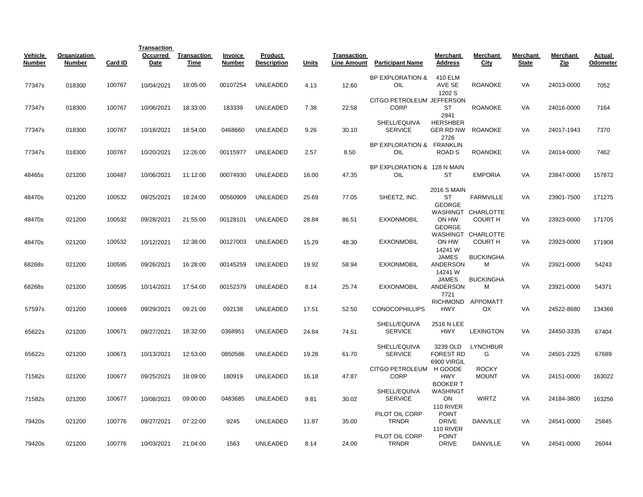|                   |                               |         | <b>Transaction</b> |                            |                   |                               |              |                                          |                                          |                                             |                                      |                          |                 |                    |
|-------------------|-------------------------------|---------|--------------------|----------------------------|-------------------|-------------------------------|--------------|------------------------------------------|------------------------------------------|---------------------------------------------|--------------------------------------|--------------------------|-----------------|--------------------|
| Vehicle<br>Number | Organization<br><b>Number</b> | Card ID | Occurred<br>Date   | Transaction<br><u>Time</u> | Invoice<br>Number | Product<br><b>Description</b> | <b>Units</b> | <b>Transaction</b><br><b>Line Amount</b> | <b>Participant Name</b>                  | Merchant<br>Address                         | Merchant<br><u>City</u>              | Merchant<br><b>State</b> | Merchant<br>Zip | Actual<br>Odometer |
| 77347s            | 018300                        | 100767  | 10/04/2021         | 18:05:00                   | 00107254          | UNLEADED                      | 4.13         | 12.60                                    | <b>BP EXPLORATION &amp;</b><br>OIL       | 410 ELM<br>AVE SE<br>1202 S                 | <b>ROANOKE</b>                       | VA                       | 24013-0000      | 7052               |
| 77347s            | 018300                        | 100767  | 10/06/2021         | 18:33:00                   | 183339            | <b>UNLEADED</b>               | 7.38         | 22.58                                    | CITGO PETROLEUM JEFFERSON<br><b>CORP</b> | <b>ST</b><br>2941                           | <b>ROANOKE</b>                       | VA                       | 24016-0000      | 7164               |
| 77347s            | 018300                        | 100767  | 10/18/2021         | 18:54:00                   | 0468660           | UNLEADED                      | 9.26         | 30.10                                    | SHELL/EQUIVA<br><b>SERVICE</b>           | <b>HERSHBER</b><br>GER RD NW<br>2726        | <b>ROANOKE</b>                       | VA                       | 24017-1943      | 7370               |
| 77347s            | 018300                        | 100767  | 10/20/2021         | 12:26:00                   | 00115977          | UNLEADED                      | 2.57         | 8.50                                     | BP EXPLORATION & FRANKLIN<br>OIL         | ROAD <sub>S</sub>                           | <b>ROANOKE</b>                       | VA                       | 24014-0000      | 7462               |
| 48465s            | 021200                        | 100487  | 10/06/2021         | 11:12:00                   | 00074930          | <b>UNLEADED</b>               | 16.00        | 47.35                                    | BP EXPLORATION & 128 N MAIN<br>OIL       | ST                                          | <b>EMPORIA</b>                       | VA                       | 23847-0000      | 157872             |
| 48470s            | 021200                        | 100532  | 09/25/2021         | 18:24:00                   | 00560909          | UNLEADED                      | 25.69        | 77.05                                    | SHEETZ, INC.                             | 2016 S MAIN<br>ST<br><b>GEORGE</b>          | <b>FARMVILLE</b>                     | VA                       | 23901-7500      | 171275             |
| 48470s            | 021200                        | 100532  | 09/28/2021         | 21:55:00                   | 00128101          | UNLEADED                      | 28.84        | 86.51                                    | <b>EXXONMOBIL</b>                        | ON HW<br><b>GEORGE</b>                      | WASHINGT CHARLOTTE<br><b>COURT H</b> | VA                       | 23923-0000      | 171705             |
| 48470s            | 021200                        | 100532  | 10/12/2021         | 12:38:00                   | 00127003          | UNLEADED                      | 15.29        | 48.30                                    | <b>EXXONMOBIL</b>                        | ON HW<br>14241 W                            | WASHINGT CHARLOTTE<br><b>COURT H</b> | VA                       | 23923-0000      | 171908             |
| 68268s            | 021200                        | 100595  | 09/26/2021         | 16:28:00                   | 00145259          | UNLEADED                      | 19.92        | 58.94                                    | <b>EXXONMOBIL</b>                        | <b>JAMES</b><br>ANDERSON<br>14241 W         | <b>BUCKINGHA</b><br>м                | VA                       | 23921-0000      | 54243              |
| 68268s            | 021200                        | 100595  | 10/14/2021         | 17:54:00                   | 00152379          | UNLEADED                      | 8.14         | 25.74                                    | <b>EXXONMOBIL</b>                        | <b>JAMES</b><br>ANDERSON<br>7721            | <b>BUCKINGHA</b><br>М                | VA                       | 23921-0000      | 54371              |
| 57597s            | 021200                        | 100669  | 09/29/2021         | 09:21:00                   | 092138            | <b>UNLEADED</b>               | 17.51        | 52.50                                    | <b>CONOCOPHILLIPS</b>                    | <b>HWY</b>                                  | RICHMOND APPOMATT<br>OX              | VA                       | 24522-8680      | 134366             |
| 65622s            | 021200                        | 100671  | 09/27/2021         | 18:32:00                   | 0368951           | <b>UNLEADED</b>               | 24.84        | 74.51                                    | SHELL/EQUIVA<br><b>SERVICE</b>           | 2516 N LEE<br><b>HWY</b>                    | <b>LEXINGTON</b>                     | VA                       | 24450-3335      | 67404              |
| 65622s            | 021200                        | 100671  | 10/13/2021         | 12:53:00                   | 0850586           | UNLEADED                      | 19.28        | 61.70                                    | SHELL/EQUIVA<br><b>SERVICE</b>           | 3239 OLD<br><b>FOREST RD</b><br>6900 VIRGIL | <b>LYNCHBUR</b><br>G                 | VA                       | 24501-2325      | 67689              |
| 71582s            | 021200                        | 100677  | 09/25/2021         | 18:09:00                   | 180919            | <b>UNLEADED</b>               | 16.18        | 47.87                                    | CITGO PETROLEUM<br><b>CORP</b>           | H GOODE<br><b>HWY</b><br><b>BOOKERT</b>     | <b>ROCKY</b><br><b>MOUNT</b>         | VA                       | 24151-0000      | 163022             |
| 71582s            | 021200                        | 100677  | 10/08/2021         | 09:00:00                   | 0483685           | UNLEADED                      | 9.81         | 30.02                                    | SHELL/EQUIVA<br><b>SERVICE</b>           | WASHINGT<br>ON<br>110 RIVER                 | <b>WIRTZ</b>                         | VA                       | 24184-3800      | 163256             |
| 79420s            | 021200                        | 100776  | 09/27/2021         | 07:22:00                   | 9245              | <b>UNLEADED</b>               | 11.87        | 35.00                                    | PILOT OIL CORP<br><b>TRNDR</b>           | <b>POINT</b><br><b>DRIVE</b><br>110 RIVER   | <b>DANVILLE</b>                      | VA                       | 24541-0000      | 25845              |
| 79420s            | 021200                        | 100776  | 10/03/2021         | 21:04:00                   | 1563              | UNLEADED                      | 8.14         | 24.00                                    | PILOT OIL CORP<br><b>TRNDR</b>           | <b>POINT</b><br><b>DRIVE</b>                | <b>DANVILLE</b>                      | VA                       | 24541-0000      | 26044              |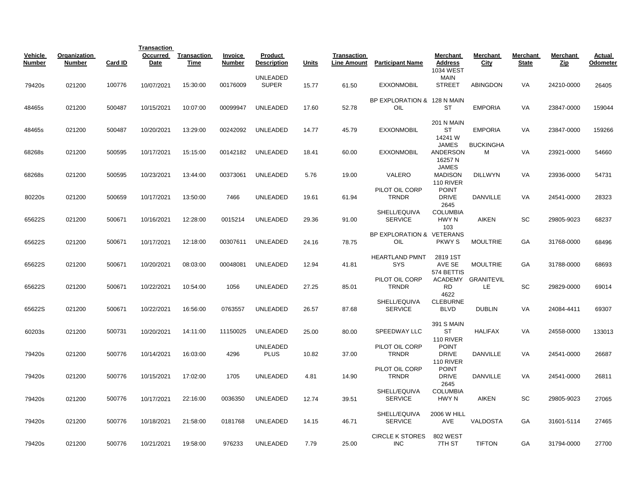|                          |                               |         | <b>Transaction</b> |                     |                          |                                |       |                                   |                                      |                                             |                         |                          |                 |                    |
|--------------------------|-------------------------------|---------|--------------------|---------------------|--------------------------|--------------------------------|-------|-----------------------------------|--------------------------------------|---------------------------------------------|-------------------------|--------------------------|-----------------|--------------------|
| Vehicle<br><b>Number</b> | Organization<br><b>Number</b> | Card ID | Occurred<br>Date   | Transaction<br>Time | Invoice<br><b>Number</b> | Product<br><b>Description</b>  | Units | Transaction<br><b>Line Amount</b> | <b>Participant Name</b>              | Merchant<br><b>Address</b><br>1034 WEST     | Merchant<br>City        | Merchant<br><b>State</b> | Merchant<br>Zip | Actual<br>Odometer |
| 79420s                   | 021200                        | 100776  | 10/07/2021         | 15:30:00            | 00176009                 | UNLEADED<br><b>SUPER</b>       | 15.77 | 61.50                             | <b>EXXONMOBIL</b>                    | <b>MAIN</b><br><b>STREET</b>                | <b>ABINGDON</b>         | VA                       | 24210-0000      | 26405              |
| 48465s                   | 021200                        | 500487  | 10/15/2021         | 10:07:00            | 00099947                 | <b>UNLEADED</b>                | 17.60 | 52.78                             | BP EXPLORATION & 128 N MAIN<br>OIL   | ST                                          | <b>EMPORIA</b>          | VA                       | 23847-0000      | 159044             |
| 48465s                   | 021200                        | 500487  | 10/20/2021         | 13:29:00            | 00242092                 | <b>UNLEADED</b>                | 14.77 | 45.79                             | <b>EXXONMOBIL</b>                    | 201 N MAIN<br>ST<br>14241 W                 | <b>EMPORIA</b>          | VA                       | 23847-0000      | 159266             |
| 68268s                   | 021200                        | 500595  | 10/17/2021         | 15:15:00            | 00142182                 | <b>UNLEADED</b>                | 18.41 | 60.00                             | <b>EXXONMOBIL</b>                    | <b>JAMES</b><br><b>ANDERSON</b><br>16257 N  | <b>BUCKINGHA</b><br>М   | VA                       | 23921-0000      | 54660              |
| 68268s                   | 021200                        | 500595  | 10/23/2021         | 13:44:00            | 00373061                 | UNLEADED                       | 5.76  | 19.00                             | VALERO                               | <b>JAMES</b><br><b>MADISON</b><br>110 RIVER | <b>DILLWYN</b>          | VA                       | 23936-0000      | 54731              |
| 80220s                   | 021200                        | 500659  | 10/17/2021         | 13:50:00            | 7466                     | <b>UNLEADED</b>                | 19.61 | 61.94                             | PILOT OIL CORP<br><b>TRNDR</b>       | <b>POINT</b><br><b>DRIVE</b><br>2645        | <b>DANVILLE</b>         | VA                       | 24541-0000      | 28323              |
| 65622S                   | 021200                        | 500671  | 10/16/2021         | 12:28:00            | 0015214                  | UNLEADED                       | 29.36 | 91.00                             | SHELL/EQUIVA<br><b>SERVICE</b>       | <b>COLUMBIA</b><br>HWY N<br>103             | <b>AIKEN</b>            | SC                       | 29805-9023      | 68237              |
| 65622S                   | 021200                        | 500671  | 10/17/2021         | 12:18:00            | 00307611                 | <b>UNLEADED</b>                | 24.16 | 78.75                             | BP EXPLORATION & VETERANS<br>OIL     | <b>PKWY S</b>                               | <b>MOULTRIE</b>         | GA                       | 31768-0000      | 68496              |
| 65622S                   | 021200                        | 500671  | 10/20/2021         | 08:03:00            | 00048081                 | <b>UNLEADED</b>                | 12.94 | 41.81                             | <b>HEARTLAND PMNT</b><br><b>SYS</b>  | 2819 1ST<br>AVE SE<br>574 BETTIS            | <b>MOULTRIE</b>         | GA                       | 31788-0000      | 68693              |
| 65622S                   | 021200                        | 500671  | 10/22/2021         | 10:54:00            | 1056                     | <b>UNLEADED</b>                | 27.25 | 85.01                             | PILOT OIL CORP<br><b>TRNDR</b>       | <b>ACADEMY</b><br><b>RD</b><br>4622         | <b>GRANITEVIL</b><br>LE | SC                       | 29829-0000      | 69014              |
| 65622S                   | 021200                        | 500671  | 10/22/2021         | 16:56:00            | 0763557                  | <b>UNLEADED</b>                | 26.57 | 87.68                             | SHELL/EQUIVA<br><b>SERVICE</b>       | <b>CLEBURNE</b><br><b>BLVD</b>              | <b>DUBLIN</b>           | VA                       | 24084-4411      | 69307              |
| 60203s                   | 021200                        | 500731  | 10/20/2021         | 14:11:00            | 11150025                 | <b>UNLEADED</b>                | 25.00 | 80.00                             | <b>SPEEDWAY LLC</b>                  | <b>391 S MAIN</b><br>ST<br>110 RIVER        | <b>HALIFAX</b>          | VA                       | 24558-0000      | 133013             |
| 79420s                   | 021200                        | 500776  | 10/14/2021         | 16:03:00            | 4296                     | <b>UNLEADED</b><br><b>PLUS</b> | 10.82 | 37.00                             | PILOT OIL CORP<br><b>TRNDR</b>       | <b>POINT</b><br><b>DRIVE</b><br>110 RIVER   | <b>DANVILLE</b>         | VA                       | 24541-0000      | 26687              |
| 79420s                   | 021200                        | 500776  | 10/15/2021         | 17:02:00            | 1705                     | <b>UNLEADED</b>                | 4.81  | 14.90                             | PILOT OIL CORP<br><b>TRNDR</b>       | <b>POINT</b><br><b>DRIVE</b><br>2645        | <b>DANVILLE</b>         | VA                       | 24541-0000      | 26811              |
| 79420s                   | 021200                        | 500776  | 10/17/2021         | 22:16:00            | 0036350                  | <b>UNLEADED</b>                | 12.74 | 39.51                             | SHELL/EQUIVA<br><b>SERVICE</b>       | <b>COLUMBIA</b><br>HWY N                    | <b>AIKEN</b>            | SC                       | 29805-9023      | 27065              |
| 79420s                   | 021200                        | 500776  | 10/18/2021         | 21:58:00            | 0181768                  | <b>UNLEADED</b>                | 14.15 | 46.71                             | SHELL/EQUIVA<br><b>SERVICE</b>       | <b>2006 W HILL</b><br>AVE                   | VALDOSTA                | GA                       | 31601-5114      | 27465              |
| 79420s                   | 021200                        | 500776  | 10/21/2021         | 19:58:00            | 976233                   | UNLEADED                       | 7.79  | 25.00                             | <b>CIRCLE K STORES</b><br><b>INC</b> | <b>802 WEST</b><br>7TH ST                   | <b>TIFTON</b>           | GА                       | 31794-0000      | 27700              |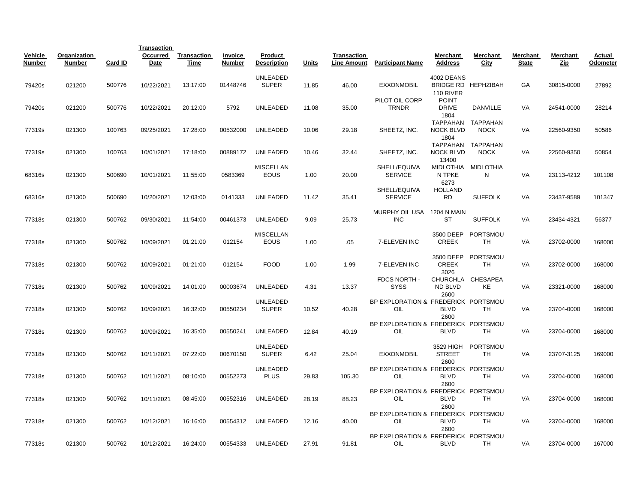|                          |                        |         | <b>Transaction</b> |                     |                   |                                 |       |                                          |                                            |                                       |                                  |                          |                 |                    |
|--------------------------|------------------------|---------|--------------------|---------------------|-------------------|---------------------------------|-------|------------------------------------------|--------------------------------------------|---------------------------------------|----------------------------------|--------------------------|-----------------|--------------------|
| Vehicle<br><b>Number</b> | Organization<br>Number | Card ID | Occurred<br>Date   | Transaction<br>Time | Invoice<br>Number | Product<br><b>Description</b>   | Units | <b>Transaction</b><br><b>Line Amount</b> | <b>Participant Name</b>                    | Merchant<br><b>Address</b>            | Merchant<br><b>City</b>          | Merchant<br><b>State</b> | Merchant<br>Zip | Actual<br>Odometer |
| 79420s                   | 021200                 | 500776  | 10/22/2021         | 13:17:00            | 01448746          | <b>UNLEADED</b><br><b>SUPER</b> | 11.85 | 46.00                                    | <b>EXXONMOBIL</b>                          | 4002 DEANS<br>110 RIVER               | BRIDGE RD HEPHZIBAH              | <b>GA</b>                | 30815-0000      | 27892              |
| 79420s                   | 021200                 | 500776  | 10/22/2021         | 20:12:00            | 5792              | UNLEADED                        | 11.08 | 35.00                                    | PILOT OIL CORP<br>TRNDR                    | <b>POINT</b><br><b>DRIVE</b><br>1804  | DANVILLE                         | VA                       | 24541-0000      | 28214              |
| 77319s                   | 021300                 | 100763  | 09/25/2021         | 17:28:00            | 00532000          | UNLEADED                        | 10.06 | 29.18                                    | SHEETZ, INC.                               | <b>NOCK BLVD</b><br>1804              | TAPPAHAN TAPPAHAN<br><b>NOCK</b> | VA                       | 22560-9350      | 50586              |
| 77319s                   | 021300                 | 100763  | 10/01/2021         | 17:18:00            | 00889172          | <b>UNLEADED</b>                 | 10.46 | 32.44                                    | SHEETZ, INC.                               | TAPPAHAN<br><b>NOCK BLVD</b><br>13400 | TAPPAHAN<br><b>NOCK</b>          | VA                       | 22560-9350      | 50854              |
| 68316s                   | 021300                 | 500690  | 10/01/2021         | 11:55:00            | 0583369           | <b>MISCELLAN</b><br><b>EOUS</b> | 1.00  | 20.00                                    | SHELL/EQUIVA<br><b>SERVICE</b>             | <b>MIDLOTHIA</b><br>N TPKE<br>6273    | MIDLOTHIA<br>N                   | VA                       | 23113-4212      | 101108             |
| 68316s                   | 021300                 | 500690  | 10/20/2021         | 12:03:00            | 0141333           | <b>UNLEADED</b>                 | 11.42 | 35.41                                    | SHELL/EQUIVA<br><b>SERVICE</b>             | <b>HOLLAND</b><br><b>RD</b>           | <b>SUFFOLK</b>                   | VA                       | 23437-9589      | 101347             |
| 77318s                   | 021300                 | 500762  | 09/30/2021         | 11:54:00            | 00461373          | <b>UNLEADED</b>                 | 9.09  | 25.73                                    | MURPHY OIL USA<br><b>INC</b>               | 1204 N MAIN<br><b>ST</b>              | <b>SUFFOLK</b>                   | VA                       | 23434-4321      | 56377              |
| 77318s                   | 021300                 | 500762  | 10/09/2021         | 01:21:00            | 012154            | <b>MISCELLAN</b><br>EOUS        | 1.00  | .05                                      | 7-ELEVEN INC                               | 3500 DEEP<br><b>CREEK</b>             | PORTSMOU<br><b>TH</b>            | VA                       | 23702-0000      | 168000             |
| 77318s                   | 021300                 | 500762  | 10/09/2021         | 01:21:00            | 012154            | <b>FOOD</b>                     | 1.00  | 1.99                                     | 7-ELEVEN INC                               | 3500 DEEP<br><b>CREEK</b>             | PORTSMOU<br>TН                   | VA                       | 23702-0000      | 168000             |
| 77318s                   | 021300                 | 500762  | 10/09/2021         | 14:01:00            | 00003674          | <b>UNLEADED</b>                 | 4.31  | 13.37                                    | FDCS NORTH -<br><b>SYSS</b>                | 3026<br><b>CHURCHLA</b><br>ND BLVD    | CHESAPEA<br>KE                   | VA                       | 23321-0000      | 168000             |
| 77318s                   | 021300                 | 500762  | 10/09/2021         | 16:32:00            | 00550234          | <b>UNLEADED</b><br><b>SUPER</b> | 10.52 | 40.28                                    | BP EXPLORATION & FREDERICK PORTSMOU<br>OIL | 2600<br><b>BLVD</b>                   | TH                               | <b>VA</b>                | 23704-0000      | 168000             |
| 77318s                   | 021300                 | 500762  | 10/09/2021         | 16:35:00            | 00550241          | <b>UNLEADED</b>                 | 12.84 | 40.19                                    | BP EXPLORATION & FREDERICK PORTSMOU<br>OIL | 2600<br><b>BLVD</b>                   | TH                               | VA                       | 23704-0000      | 168000             |
| 77318s                   | 021300                 | 500762  | 10/11/2021         | 07:22:00            | 00670150          | UNLEADED<br><b>SUPER</b>        | 6.42  | 25.04                                    | <b>EXXONMOBIL</b>                          | 3529 HIGH<br><b>STREET</b>            | PORTSMOU<br>TH                   | VA                       | 23707-3125      | 169000             |
| 77318s                   | 021300                 | 500762  | 10/11/2021         | 08:10:00            | 00552273          | UNLEADED<br><b>PLUS</b>         | 29.83 | 105.30                                   | BP EXPLORATION & FREDERICK PORTSMOU<br>OIL | 2600<br><b>BLVD</b>                   | <b>TH</b>                        | VA                       | 23704-0000      | 168000             |
| 77318s                   | 021300                 | 500762  | 10/11/2021         | 08:45:00            | 00552316          | UNLEADED                        | 28.19 | 88.23                                    | BP EXPLORATION & FREDERICK PORTSMOU<br>OIL | 2600<br><b>BLVD</b>                   | TH                               | VA                       | 23704-0000      | 168000             |
| 77318s                   | 021300                 | 500762  | 10/12/2021         | 16:16:00            | 00554312          | UNLEADED                        | 12.16 | 40.00                                    | BP EXPLORATION & FREDERICK PORTSMOU<br>OIL | 2600<br><b>BLVD</b>                   | <b>TH</b>                        | VA                       | 23704-0000      | 168000             |
| 77318s                   | 021300                 | 500762  | 10/12/2021         | 16:24:00            | 00554333          | UNLEADED                        | 27.91 | 91.81                                    | BP EXPLORATION & FREDERICK PORTSMOU<br>OIL | 2600<br><b>BLVD</b>                   | TH                               | VA                       | 23704-0000      | 167000             |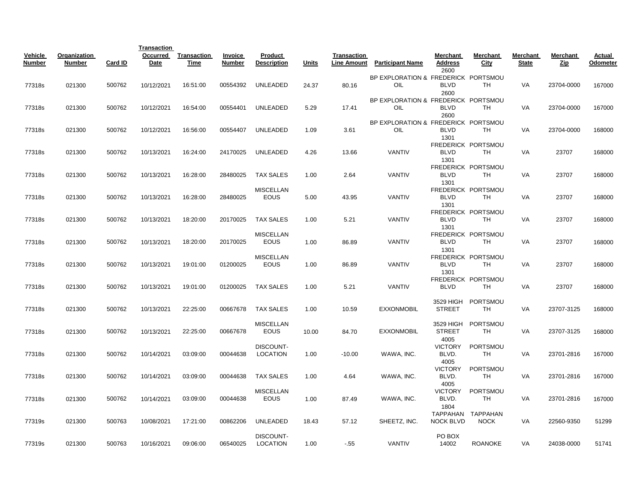| Vehicle<br>Number | Organization<br><b>Number</b> | Card ID | <b>Transaction</b><br>Occurred<br>Date | Transaction<br>Time | Invoice<br>Number | Product<br><b>Description</b>   | <b>Units</b> | Transaction<br><b>Line Amount</b> | <b>Participant Name</b>                           | Merchant<br><b>Address</b>              | Merchant<br>City                 | Merchant<br><b>State</b> | Merchant<br><u>Zip</u> | <b>Actual</b><br><b>Odometer</b> |
|-------------------|-------------------------------|---------|----------------------------------------|---------------------|-------------------|---------------------------------|--------------|-----------------------------------|---------------------------------------------------|-----------------------------------------|----------------------------------|--------------------------|------------------------|----------------------------------|
|                   |                               |         |                                        |                     |                   |                                 |              |                                   |                                                   | 2600                                    |                                  |                          |                        |                                  |
| 77318s            | 021300                        | 500762  | 10/12/2021                             | 16:51:00            | 00554392          | <b>UNLEADED</b>                 | 24.37        | 80.16                             | BP EXPLORATION & FREDERICK PORTSMOU<br><b>OIL</b> | <b>BLVD</b><br>2600                     | <b>TH</b>                        | VA                       | 23704-0000             | 167000                           |
| 77318s            | 021300                        | 500762  | 10/12/2021                             | 16:54:00            | 00554401          | UNLEADED                        | 5.29         | 17.41                             | BP EXPLORATION & FREDERICK PORTSMOU<br>OIL        | <b>BLVD</b><br>2600                     | <b>TH</b>                        | VA                       | 23704-0000             | 167000                           |
| 77318s            | 021300                        | 500762  | 10/12/2021                             | 16:56:00            | 00554407          | UNLEADED                        | 1.09         | 3.61                              | BP EXPLORATION & FREDERICK PORTSMOU<br>OIL        | <b>BLVD</b><br>1301                     | TH                               | VA                       | 23704-0000             | 168000                           |
| 77318s            | 021300                        | 500762  | 10/13/2021                             | 16:24:00            | 24170025          | <b>UNLEADED</b>                 | 4.26         | 13.66                             | <b>VANTIV</b>                                     | <b>BLVD</b><br>1301                     | FREDERICK PORTSMOU<br><b>TH</b>  | VA                       | 23707                  | 168000                           |
| 77318s            | 021300                        | 500762  | 10/13/2021                             | 16:28:00            | 28480025          | <b>TAX SALES</b>                | 1.00         | 2.64                              | <b>VANTIV</b>                                     | <b>BLVD</b>                             | FREDERICK PORTSMOU<br>TH         | VA                       | 23707                  | 168000                           |
| 77318s            | 021300                        | 500762  | 10/13/2021                             | 16:28:00            | 28480025          | <b>MISCELLAN</b><br><b>EOUS</b> | 5.00         | 43.95                             | <b>VANTIV</b>                                     | 1301<br>BLVD<br>1301                    | FREDERICK PORTSMOU<br>TН         | VA                       | 23707                  | 168000                           |
| 77318s            | 021300                        | 500762  | 10/13/2021                             | 18:20:00            | 20170025          | <b>TAX SALES</b>                | 1.00         | 5.21                              | VANTIV                                            | <b>BLVD</b><br>1301                     | FREDERICK PORTSMOU<br><b>TH</b>  | VA                       | 23707                  | 168000                           |
| 77318s            | 021300                        | 500762  | 10/13/2021                             | 18:20:00            | 20170025          | <b>MISCELLAN</b><br><b>EOUS</b> | 1.00         | 86.89                             | VANTIV                                            | <b>BLVD</b>                             | FREDERICK PORTSMOU<br><b>TH</b>  | VA                       | 23707                  | 168000                           |
| 77318s            | 021300                        | 500762  | 10/13/2021                             | 19:01:00            | 01200025          | <b>MISCELLAN</b><br><b>EOUS</b> | 1.00         | 86.89                             | <b>VANTIV</b>                                     | 1301<br><b>BLVD</b>                     | FREDERICK PORTSMOU<br>TH         | VA                       | 23707                  | 168000                           |
| 77318s            | 021300                        | 500762  | 10/13/2021                             | 19:01:00            | 01200025          | <b>TAX SALES</b>                | 1.00         | 5.21                              | <b>VANTIV</b>                                     | 1301<br><b>BLVD</b>                     | FREDERICK PORTSMOU<br><b>TH</b>  | VA                       | 23707                  | 168000                           |
| 77318s            | 021300                        | 500762  | 10/13/2021                             | 22:25:00            | 00667678          | <b>TAX SALES</b>                | 1.00         | 10.59                             | <b>EXXONMOBIL</b>                                 | 3529 HIGH<br><b>STREET</b>              | PORTSMOU<br><b>TH</b>            | VA                       | 23707-3125             | 168000                           |
| 77318s            | 021300                        | 500762  | 10/13/2021                             | 22:25:00            | 00667678          | <b>MISCELLAN</b><br>EOUS        | 10.00        | 84.70                             | <b>EXXONMOBIL</b>                                 | 3529 HIGH<br><b>STREET</b>              | PORTSMOU<br><b>TH</b>            | VA                       | 23707-3125             | 168000                           |
| 77318s            | 021300                        | 500762  | 10/14/2021                             | 03:09:00            | 00044638          | DISCOUNT-<br>LOCATION           | 1.00         | $-10.00$                          | WAWA, INC.                                        | 4005<br><b>VICTORY</b><br>BLVD.<br>4005 | PORTSMOU<br><b>TH</b>            | VA                       | 23701-2816             | 167000                           |
| 77318s            | 021300                        | 500762  | 10/14/2021                             | 03:09:00            | 00044638          | <b>TAX SALES</b>                | 1.00         | 4.64                              | WAWA, INC.                                        | <b>VICTORY</b><br>BLVD.<br>4005         | PORTSMOU<br>TH                   | VA                       | 23701-2816             | 167000                           |
| 77318s            | 021300                        | 500762  | 10/14/2021                             | 03:09:00            | 00044638          | <b>MISCELLAN</b><br>EOUS        | 1.00         | 87.49                             | WAWA, INC.                                        | <b>VICTORY</b><br>BLVD.<br>1804         | PORTSMOU<br>TН                   | VA                       | 23701-2816             | 167000                           |
| 77319s            | 021300                        | 500763  | 10/08/2021                             | 17:21:00            | 00862206          | UNLEADED                        | 18.43        | 57.12                             | SHEETZ, INC.                                      | <b>NOCK BLVD</b>                        | TAPPAHAN TAPPAHAN<br><b>NOCK</b> | VA                       | 22560-9350             | 51299                            |
| 77319s            | 021300                        | 500763  | 10/16/2021                             | 09:06:00            | 06540025          | DISCOUNT-<br><b>LOCATION</b>    | 1.00         | $-55$                             | <b>VANTIV</b>                                     | PO BOX<br>14002                         | <b>ROANOKE</b>                   | VA                       | 24038-0000             | 51741                            |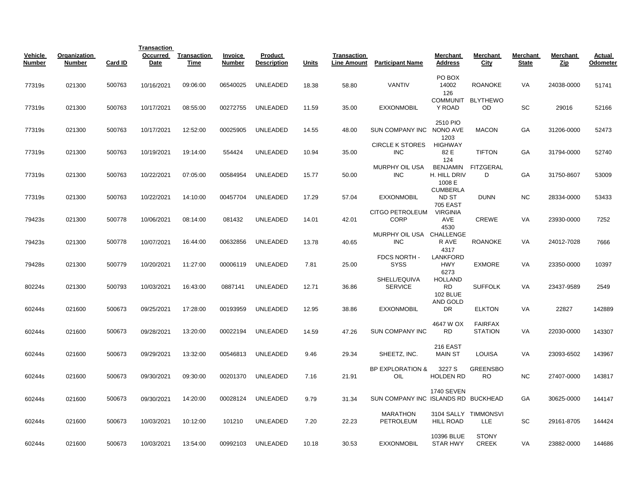|                          |                               |         | <b>Transaction</b>      |                     |                          |                               |       |                                          |                                        |                                                |                                  |                          |                 |                    |
|--------------------------|-------------------------------|---------|-------------------------|---------------------|--------------------------|-------------------------------|-------|------------------------------------------|----------------------------------------|------------------------------------------------|----------------------------------|--------------------------|-----------------|--------------------|
| Vehicle<br><b>Number</b> | Organization<br><b>Number</b> | Card ID | Occurred<br><b>Date</b> | Transaction<br>Time | Invoice<br><b>Number</b> | Product<br><b>Description</b> | Units | <b>Transaction</b><br><b>Line Amount</b> | <b>Participant Name</b>                | Merchant<br><b>Address</b>                     | Merchant<br>City                 | Merchant<br><b>State</b> | Merchant<br>Zip | Actual<br>Odometer |
| 77319s                   | 021300                        | 500763  | 10/16/2021              | 09:06:00            | 06540025                 | <b>UNLEADED</b>               | 18.38 | 58.80                                    | <b>VANTIV</b>                          | PO BOX<br>14002<br>126                         | <b>ROANOKE</b>                   | VA                       | 24038-0000      | 51741              |
| 77319s                   | 021300                        | 500763  | 10/17/2021              | 08:55:00            | 00272755                 | UNLEADED                      | 11.59 | 35.00                                    | <b>EXXONMOBIL</b>                      | <b>COMMUNIT</b><br>Y ROAD                      | <b>BLYTHEWO</b><br>OD            | SC                       | 29016           | 52166              |
| 77319s                   | 021300                        | 500763  | 10/17/2021              | 12:52:00            | 00025905                 | UNLEADED                      | 14.55 | 48.00                                    | SUN COMPANY INC                        | 2510 PIO<br>NONO AVE<br>1203                   | <b>MACON</b>                     | GA                       | 31206-0000      | 52473              |
| 77319s                   | 021300                        | 500763  | 10/19/2021              | 19:14:00            | 554424                   | <b>UNLEADED</b>               | 10.94 | 35.00                                    | <b>CIRCLE K STORES</b><br><b>INC</b>   | <b>HIGHWAY</b><br>82 E<br>124                  | <b>TIFTON</b>                    | GA                       | 31794-0000      | 52740              |
| 77319s                   | 021300                        | 500763  | 10/22/2021              | 07:05:00            | 00584954                 | <b>UNLEADED</b>               | 15.77 | 50.00                                    | MURPHY OIL USA<br><b>INC</b>           | <b>BENJAMIN</b><br>H. HILL DRIV<br>1008 E      | <b>FITZGERAL</b><br>D            | GA                       | 31750-8607      | 53009              |
| 77319s                   | 021300                        | 500763  | 10/22/2021              | 14:10:00            | 00457704                 | UNLEADED                      | 17.29 | 57.04                                    | <b>EXXONMOBIL</b>                      | <b>CUMBERLA</b><br>ND ST<br><b>705 EAST</b>    | <b>DUNN</b>                      | <b>NC</b>                | 28334-0000      | 53433              |
| 79423s                   | 021300                        | 500778  | 10/06/2021              | 08:14:00            | 081432                   | UNLEADED                      | 14.01 | 42.01                                    | <b>CITGO PETROLEUM</b><br><b>CORP</b>  | <b>VIRGINIA</b><br>AVE<br>4530                 | <b>CREWE</b>                     | VA                       | 23930-0000      | 7252               |
| 79423s                   | 021300                        | 500778  | 10/07/2021              | 16:44:00            | 00632856                 | UNLEADED                      | 13.78 | 40.65                                    | MURPHY OIL USA CHALLENGE<br><b>INC</b> | R AVE<br>4317                                  | <b>ROANOKE</b>                   | VA                       | 24012-7028      | 7666               |
| 79428s                   | 021300                        | 500779  | 10/20/2021              | 11:27:00            | 00006119                 | <b>UNLEADED</b>               | 7.81  | 25.00                                    | FDCS NORTH -<br><b>SYSS</b>            | <b>LANKFORD</b><br><b>HWY</b><br>6273          | <b>EXMORE</b>                    | VA                       | 23350-0000      | 10397              |
| 80224s                   | 021300                        | 500793  | 10/03/2021              | 16:43:00            | 0887141                  | <b>UNLEADED</b>               | 12.71 | 36.86                                    | SHELL/EQUIVA<br><b>SERVICE</b>         | <b>HOLLAND</b><br><b>RD</b><br><b>102 BLUE</b> | <b>SUFFOLK</b>                   | <b>VA</b>                | 23437-9589      | 2549               |
| 60244s                   | 021600                        | 500673  | 09/25/2021              | 17:28:00            | 00193959                 | UNLEADED                      | 12.95 | 38.86                                    | <b>EXXONMOBIL</b>                      | AND GOLD<br>DR                                 | <b>ELKTON</b>                    | VA                       | 22827           | 142889             |
| 60244s                   | 021600                        | 500673  | 09/28/2021              | 13:20:00            | 00022194                 | UNLEADED                      | 14.59 | 47.26                                    | <b>SUN COMPANY INC</b>                 | 4647 W OX<br>RD                                | <b>FAIRFAX</b><br><b>STATION</b> | VA                       | 22030-0000      | 143307             |
| 60244s                   | 021600                        | 500673  | 09/29/2021              | 13:32:00            | 00546813                 | <b>UNLEADED</b>               | 9.46  | 29.34                                    | SHEETZ, INC.                           | 216 EAST<br><b>MAIN ST</b>                     | <b>LOUISA</b>                    | VA                       | 23093-6502      | 143967             |
| 60244s                   | 021600                        | 500673  | 09/30/2021              | 09:30:00            | 00201370                 | <b>UNLEADED</b>               | 7.16  | 21.91                                    | <b>BP EXPLORATION &amp;</b><br>OIL     | 3227 S<br><b>HOLDEN RD</b>                     | <b>GREENSBO</b><br><b>RO</b>     | <b>NC</b>                | 27407-0000      | 143817             |
| 60244s                   | 021600                        | 500673  | 09/30/2021              | 14:20:00            | 00028124                 | UNLEADED                      | 9.79  | 31.34                                    | SUN COMPANY INC ISLANDS RD BUCKHEAD    | <b>1740 SEVEN</b>                              |                                  | GA                       | 30625-0000      | 144147             |
| 60244s                   | 021600                        | 500673  | 10/03/2021              | 10:12:00            | 101210                   | <b>UNLEADED</b>               | 7.20  | 22.23                                    | <b>MARATHON</b><br>PETROLEUM           | <b>HILL ROAD</b>                               | 3104 SALLY TIMMONSVI<br>LLE      | SC                       | 29161-8705      | 144424             |
| 60244s                   | 021600                        | 500673  | 10/03/2021              | 13:54:00            | 00992103                 | UNLEADED                      | 10.18 | 30.53                                    | <b>EXXONMOBIL</b>                      | 10396 BLUE<br><b>STAR HWY</b>                  | <b>STONY</b><br><b>CREEK</b>     | VA                       | 23882-0000      | 144686             |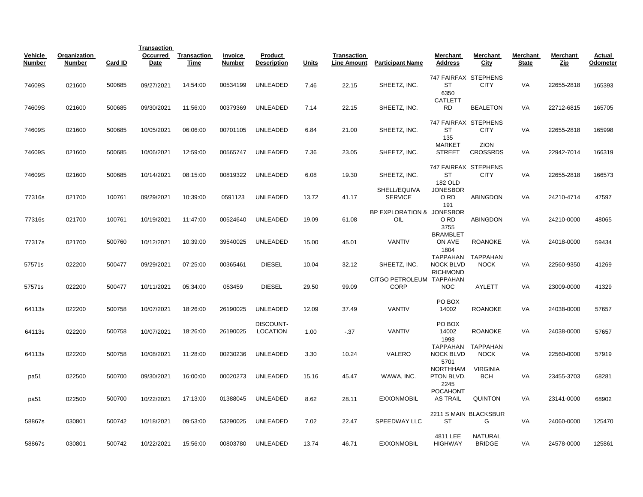|                   |                               |         | <b>Transaction</b> |                     |                          |                               |              |                                   |                                         |                                             |                                  |                          |                        |                    |
|-------------------|-------------------------------|---------|--------------------|---------------------|--------------------------|-------------------------------|--------------|-----------------------------------|-----------------------------------------|---------------------------------------------|----------------------------------|--------------------------|------------------------|--------------------|
| Vehicle<br>Number | Organization<br><b>Number</b> | Card ID | Occurred<br>Date   | Transaction<br>Time | <b>Invoice</b><br>Number | Product<br><b>Description</b> | <b>Units</b> | Transaction<br><b>Line Amount</b> | <b>Participant Name</b>                 | Merchant<br><b>Address</b>                  | Merchant<br>City                 | Merchant<br><b>State</b> | Merchant<br><u>Zip</u> | Actual<br>Odometer |
| 74609S            | 021600                        | 500685  | 09/27/2021         | 14:54:00            | 00534199                 | <b>UNLEADED</b>               | 7.46         | 22.15                             | SHEETZ, INC.                            | 747 FAIRFAX STEPHENS<br>ST<br>6350          | <b>CITY</b>                      | VA                       | 22655-2818             | 165393             |
| 74609S            | 021600                        | 500685  | 09/30/2021         | 11:56:00            | 00379369                 | UNLEADED                      | 7.14         | 22.15                             | SHEETZ, INC.                            | <b>CATLETT</b><br><b>RD</b>                 | <b>BEALETON</b>                  | VA                       | 22712-6815             | 165705             |
| 74609S            | 021600                        | 500685  | 10/05/2021         | 06:06:00            | 00701105                 | UNLEADED                      | 6.84         | 21.00                             | SHEETZ, INC.                            | 747 FAIRFAX STEPHENS<br>ST<br>135           | <b>CITY</b>                      | VA                       | 22655-2818             | 165998             |
| 74609S            | 021600                        | 500685  | 10/06/2021         | 12:59:00            | 00565747                 | UNLEADED                      | 7.36         | 23.05                             | SHEETZ, INC.                            | <b>MARKET</b><br><b>STREET</b>              | <b>ZION</b><br><b>CROSSRDS</b>   | VA                       | 22942-7014             | 166319             |
| 74609S            | 021600                        | 500685  | 10/14/2021         | 08:15:00            | 00819322                 | UNLEADED                      | 6.08         | 19.30                             | SHEETZ, INC.                            | 747 FAIRFAX STEPHENS<br>ST<br>182 OLD       | <b>CITY</b>                      | <b>VA</b>                | 22655-2818             | 166573             |
| 77316s            | 021700                        | 100761  | 09/29/2021         | 10:39:00            | 0591123                  | <b>UNLEADED</b>               | 13.72        | 41.17                             | SHELL/EQUIVA<br><b>SERVICE</b>          | <b>JONESBOR</b><br>O RD<br>191              | <b>ABINGDON</b>                  | VA                       | 24210-4714             | 47597              |
| 77316s            | 021700                        | 100761  | 10/19/2021         | 11:47:00            | 00524640                 | <b>UNLEADED</b>               | 19.09        | 61.08                             | BP EXPLORATION & JONESBOR<br>OIL        | O RD<br>3755                                | <b>ABINGDON</b>                  | <b>VA</b>                | 24210-0000             | 48065              |
| 77317s            | 021700                        | 500760  | 10/12/2021         | 10:39:00            | 39540025                 | <b>UNLEADED</b>               | 15.00        | 45.01                             | <b>VANTIV</b>                           | <b>BRAMBLET</b><br>ON AVE<br>1804           | <b>ROANOKE</b>                   | <b>VA</b>                | 24018-0000             | 59434              |
| 57571s            | 022200                        | 500477  | 09/29/2021         | 07:25:00            | 00365461                 | <b>DIESEL</b>                 | 10.04        | 32.12                             | SHEETZ, INC.                            | <b>NOCK BLVD</b><br><b>RICHMOND</b>         | TAPPAHAN TAPPAHAN<br><b>NOCK</b> | VA                       | 22560-9350             | 41269              |
| 57571s            | 022200                        | 500477  | 10/11/2021         | 05:34:00            | 053459                   | <b>DIESEL</b>                 | 29.50        | 99.09                             | CITGO PETROLEUM TAPPAHAN<br><b>CORP</b> | <b>NOC</b>                                  | AYLETT                           | VA                       | 23009-0000             | 41329              |
| 64113s            | 022200                        | 500758  | 10/07/2021         | 18:26:00            | 26190025                 | <b>UNLEADED</b>               | 12.09        | 37.49                             | <b>VANTIV</b>                           | PO BOX<br>14002                             | <b>ROANOKE</b>                   | VA                       | 24038-0000             | 57657              |
| 64113s            | 022200                        | 500758  | 10/07/2021         | 18:26:00            | 26190025                 | DISCOUNT-<br><b>LOCATION</b>  | 1.00         | $-37$                             | VANTIV                                  | PO BOX<br>14002<br>1998                     | <b>ROANOKE</b>                   | VA                       | 24038-0000             | 57657              |
| 64113s            | 022200                        | 500758  | 10/08/2021         | 11:28:00            | 00230236                 | <b>UNLEADED</b>               | 3.30         | 10.24                             | VALERO                                  | <b>TAPPAHAN</b><br><b>NOCK BLVD</b><br>5701 | TAPPAHAN<br><b>NOCK</b>          | VA                       | 22560-0000             | 57919              |
| pa51              | 022500                        | 500700  | 09/30/2021         | 16:00:00            | 00020273                 | UNLEADED                      | 15.16        | 45.47                             | WAWA, INC.                              | <b>NORTHHAM</b><br>PTON BLVD.<br>2245       | <b>VIRGINIA</b><br><b>BCH</b>    | VA                       | 23455-3703             | 68281              |
| pa51              | 022500                        | 500700  | 10/22/2021         | 17:13:00            | 01388045                 | UNLEADED                      | 8.62         | 28.11                             | <b>EXXONMOBIL</b>                       | <b>POCAHONT</b><br><b>AS TRAIL</b>          | <b>QUINTON</b>                   | VA                       | 23141-0000             | 68902              |
| 58867s            | 030801                        | 500742  | 10/18/2021         | 09:53:00            | 53290025                 | UNLEADED                      | 7.02         | 22.47                             | SPEEDWAY LLC                            | <b>ST</b>                                   | 2211 S MAIN BLACKSBUR<br>G       | VA                       | 24060-0000             | 125470             |
| 58867s            | 030801                        | 500742  | 10/22/2021         | 15:56:00            | 00803780                 | UNLEADED                      | 13.74        | 46.71                             | <b>EXXONMOBIL</b>                       | 4811 LEE<br><b>HIGHWAY</b>                  | NATURAL<br><b>BRIDGE</b>         | VA                       | 24578-0000             | 125861             |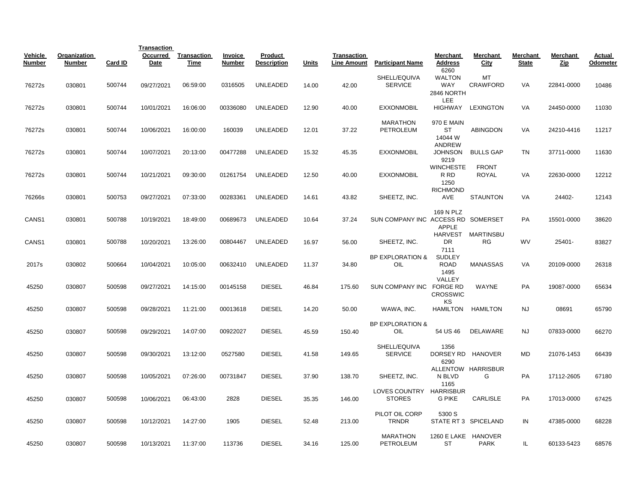|                          |                        |         | <b>Transaction</b> |                            |                   |                               |       |                                   |                                          |                                                   |                                |                          |                 |                    |
|--------------------------|------------------------|---------|--------------------|----------------------------|-------------------|-------------------------------|-------|-----------------------------------|------------------------------------------|---------------------------------------------------|--------------------------------|--------------------------|-----------------|--------------------|
| Vehicle<br><b>Number</b> | Organization<br>Number | Card ID | Occurred<br>Date   | <b>Transaction</b><br>Time | Invoice<br>Number | Product<br><b>Description</b> | Units | Transaction<br><b>Line Amount</b> | <b>Participant Name</b>                  | Merchant<br><b>Address</b>                        | Merchant<br>City               | Merchant<br><b>State</b> | Merchant<br>Zip | Actual<br>Odometer |
| 76272s                   | 030801                 | 500744  | 09/27/2021         | 06:59:00                   | 0316505           | <b>UNLEADED</b>               | 14.00 | 42.00                             | SHELL/EQUIVA<br><b>SERVICE</b>           | 6260<br><b>WALTON</b><br><b>WAY</b><br>2846 NORTH | MT<br><b>CRAWFORD</b>          | VA                       | 22841-0000      | 10486              |
| 76272s                   | 030801                 | 500744  | 10/01/2021         | 16:06:00                   | 00336080          | UNLEADED                      | 12.90 | 40.00                             | <b>EXXONMOBIL</b>                        | <b>LEE</b><br>HIGHWAY                             | <b>LEXINGTON</b>               | VA                       | 24450-0000      | 11030              |
| 76272s                   | 030801                 | 500744  | 10/06/2021         | 16:00:00                   | 160039            | <b>UNLEADED</b>               | 12.01 | 37.22                             | <b>MARATHON</b><br>PETROLEUM             | 970 E MAIN<br>ST<br>14044 W                       | ABINGDON                       | VA                       | 24210-4416      | 11217              |
| 76272s                   | 030801                 | 500744  | 10/07/2021         | 20:13:00                   | 00477288          | <b>UNLEADED</b>               | 15.32 | 45.35                             | <b>EXXONMOBIL</b>                        | <b>ANDREW</b><br><b>JOHNSON</b><br>9219           | <b>BULLS GAP</b>               | TN                       | 37711-0000      | 11630              |
| 76272s                   | 030801                 | 500744  | 10/21/2021         | 09:30:00                   | 01261754          | UNLEADED                      | 12.50 | 40.00                             | <b>EXXONMOBIL</b>                        | <b>WINCHESTE</b><br>R RD<br>1250                  | <b>FRONT</b><br><b>ROYAL</b>   | VA                       | 22630-0000      | 12212              |
| 76266s                   | 030801                 | 500753  | 09/27/2021         | 07:33:00                   | 00283361          | <b>UNLEADED</b>               | 14.61 | 43.82                             | SHEETZ, INC.                             | <b>RICHMOND</b><br>AVE                            | <b>STAUNTON</b>                | VA                       | 24402-          | 12143              |
| CANS1                    | 030801                 | 500788  | 10/19/2021         | 18:49:00                   | 00689673          | <b>UNLEADED</b>               | 10.64 | 37.24                             | SUN COMPANY INC ACCESS RD SOMERSET       | 169 N PLZ<br><b>APPLE</b>                         |                                | PA                       | 15501-0000      | 38620              |
| CANS <sub>1</sub>        | 030801                 | 500788  | 10/20/2021         | 13:26:00                   | 00804467          | <b>UNLEADED</b>               | 16.97 | 56.00                             | SHEETZ, INC.                             | <b>DR</b><br>7111                                 | HARVEST MARTINSBU<br><b>RG</b> | <b>WV</b>                | 25401-          | 83827              |
| 2017s                    | 030802                 | 500664  | 10/04/2021         | 10:05:00                   | 00632410          | <b>UNLEADED</b>               | 11.37 | 34.80                             | <b>BP EXPLORATION &amp;</b><br>OIL       | <b>SUDLEY</b><br><b>ROAD</b><br>1495              | <b>MANASSAS</b>                | VA                       | 20109-0000      | 26318              |
| 45250                    | 030807                 | 500598  | 09/27/2021         | 14:15:00                   | 00145158          | <b>DIESEL</b>                 | 46.84 | 175.60                            | SUN COMPANY INC FORGE RD                 | VALLEY<br><b>CROSSWIC</b>                         | WAYNE                          | PA                       | 19087-0000      | 65634              |
| 45250                    | 030807                 | 500598  | 09/28/2021         | 11:21:00                   | 00013618          | <b>DIESEL</b>                 | 14.20 | 50.00                             | WAWA, INC.                               | ΚS<br><b>HAMILTON</b>                             | <b>HAMILTON</b>                | <b>NJ</b>                | 08691           | 65790              |
| 45250                    | 030807                 | 500598  | 09/29/2021         | 14:07:00                   | 00922027          | <b>DIESEL</b>                 | 45.59 | 150.40                            | <b>BP EXPLORATION &amp;</b><br>OIL       | 54 US 46                                          | DELAWARE                       | <b>NJ</b>                | 07833-0000      | 66270              |
| 45250                    | 030807                 | 500598  | 09/30/2021         | 13:12:00                   | 0527580           | <b>DIESEL</b>                 | 41.58 | 149.65                            | SHELL/EQUIVA<br><b>SERVICE</b>           | 1356<br>DORSEY RD HANOVER<br>6290                 |                                | MD                       | 21076-1453      | 66439              |
| 45250                    | 030807                 | 500598  | 10/05/2021         | 07:26:00                   | 00731847          | <b>DIESEL</b>                 | 37.90 | 138.70                            | SHEETZ, INC.                             | N BLVD<br>1165                                    | ALLENTOW HARRISBUR<br>G        | PA                       | 17112-2605      | 67180              |
| 45250                    | 030807                 | 500598  | 10/06/2021         | 06:43:00                   | 2828              | <b>DIESEL</b>                 | 35.35 | 146.00                            | LOVES COUNTRY HARRISBUR<br><b>STORES</b> | <b>G PIKE</b>                                     | <b>CARLISLE</b>                | PA                       | 17013-0000      | 67425              |
| 45250                    | 030807                 | 500598  | 10/12/2021         | 14:27:00                   | 1905              | <b>DIESEL</b>                 | 52.48 | 213.00                            | PILOT OIL CORP<br><b>TRNDR</b>           | 5300 S                                            | STATE RT 3 SPICELAND           | IN                       | 47385-0000      | 68228              |
| 45250                    | 030807                 | 500598  | 10/13/2021         | 11:37:00                   | 113736            | <b>DIESEL</b>                 | 34.16 | 125.00                            | <b>MARATHON</b><br>PETROLEUM             | 1260 E LAKE HANOVER<br><b>ST</b>                  | <b>PARK</b>                    | IL.                      | 60133-5423      | 68576              |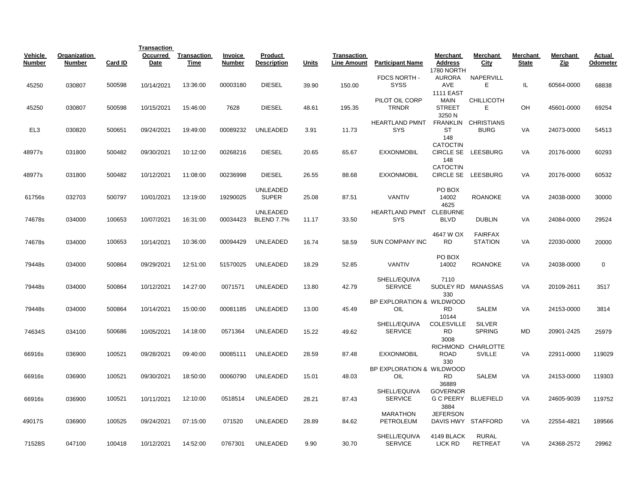|                          |                               |         | <b>Transaction</b> |                     |                          |                               |       |                                   |                           |                                   |                     |                          |                 |                    |
|--------------------------|-------------------------------|---------|--------------------|---------------------|--------------------------|-------------------------------|-------|-----------------------------------|---------------------------|-----------------------------------|---------------------|--------------------------|-----------------|--------------------|
| Vehicle<br><b>Number</b> | Organization<br><b>Number</b> | Card ID | Occurred<br>Date   | Transaction<br>Time | Invoice<br><b>Number</b> | Product<br><b>Description</b> | Units | Transaction<br><b>Line Amount</b> | <b>Participant Name</b>   | <b>Merchant</b><br><b>Address</b> | Merchant<br>City    | Merchant<br><b>State</b> | Merchant<br>Zip | Actual<br>Odometer |
|                          |                               |         |                    |                     |                          |                               |       |                                   | FDCS NORTH -              | 1780 NORTH<br><b>AURORA</b>       | NAPERVILL           |                          |                 |                    |
| 45250                    | 030807                        | 500598  | 10/14/2021         | 13:36:00            | 00003180                 | <b>DIESEL</b>                 | 39.90 | 150.00                            | <b>SYSS</b>               | AVE                               | Е                   | IL.                      | 60564-0000      | 68838              |
|                          |                               |         |                    |                     |                          |                               |       |                                   |                           | <b>1111 EAST</b>                  |                     |                          |                 |                    |
|                          |                               |         |                    |                     |                          |                               |       |                                   | PILOT OIL CORP            | <b>MAIN</b>                       | <b>CHILLICOTH</b>   |                          |                 |                    |
| 45250                    | 030807                        | 500598  | 10/15/2021         | 15:46:00            | 7628                     | <b>DIESEL</b>                 | 48.61 | 195.35                            | <b>TRNDR</b>              | <b>STREET</b>                     | Е                   | OH                       | 45601-0000      | 69254              |
|                          |                               |         |                    |                     |                          |                               |       |                                   |                           | 3250 N                            |                     |                          |                 |                    |
|                          |                               |         |                    |                     |                          |                               |       |                                   | <b>HEARTLAND PMNT</b>     |                                   | FRANKLIN CHRISTIANS |                          |                 |                    |
| EL <sub>3</sub>          | 030820                        | 500651  | 09/24/2021         | 19:49:00            | 00089232                 | <b>UNLEADED</b>               | 3.91  | 11.73                             | <b>SYS</b>                | <b>ST</b>                         | <b>BURG</b>         | VA                       | 24073-0000      | 54513              |
|                          |                               |         |                    |                     |                          |                               |       |                                   |                           | 148<br><b>CATOCTIN</b>            |                     |                          |                 |                    |
| 48977s                   | 031800                        | 500482  | 09/30/2021         | 10:12:00            | 00268216                 | <b>DIESEL</b>                 | 20.65 | 65.67                             | <b>EXXONMOBIL</b>         | <b>CIRCLE SE</b>                  | <b>LEESBURG</b>     | VA                       | 20176-0000      | 60293              |
|                          |                               |         |                    |                     |                          |                               |       |                                   |                           | 148                               |                     |                          |                 |                    |
|                          |                               |         |                    |                     |                          |                               |       |                                   |                           | <b>CATOCTIN</b>                   |                     |                          |                 |                    |
| 48977s                   | 031800                        | 500482  | 10/12/2021         | 11:08:00            | 00236998                 | <b>DIESEL</b>                 | 26.55 | 88.68                             | <b>EXXONMOBIL</b>         | <b>CIRCLE SE</b>                  | <b>LEESBURG</b>     | VA                       | 20176-0000      | 60532              |
|                          |                               |         |                    |                     |                          |                               |       |                                   |                           |                                   |                     |                          |                 |                    |
|                          |                               |         |                    |                     |                          | UNLEADED                      |       |                                   |                           | PO BOX                            |                     |                          |                 |                    |
| 61756s                   | 032703                        | 500797  | 10/01/2021         | 13:19:00            | 19290025                 | <b>SUPER</b>                  | 25.08 | 87.51                             | <b>VANTIV</b>             | 14002                             | <b>ROANOKE</b>      | VA                       | 24038-0000      | 30000              |
|                          |                               |         |                    |                     |                          | UNLEADED                      |       |                                   | HEARTLAND PMNT            | 4625<br><b>CLEBURNE</b>           |                     |                          |                 |                    |
| 74678s                   | 034000                        | 100653  | 10/07/2021         | 16:31:00            | 00034423                 | <b>BLEND 7.7%</b>             | 11.17 | 33.50                             | <b>SYS</b>                | <b>BLVD</b>                       | <b>DUBLIN</b>       | VA                       | 24084-0000      | 29524              |
|                          |                               |         |                    |                     |                          |                               |       |                                   |                           |                                   |                     |                          |                 |                    |
|                          |                               |         |                    |                     |                          |                               |       |                                   |                           | 4647 W OX                         | <b>FAIRFAX</b>      |                          |                 |                    |
| 74678s                   | 034000                        | 100653  | 10/14/2021         | 10:36:00            | 00094429                 | <b>UNLEADED</b>               | 16.74 | 58.59                             | <b>SUN COMPANY INC</b>    | <b>RD</b>                         | <b>STATION</b>      | <b>VA</b>                | 22030-0000      | 20000              |
|                          |                               |         |                    |                     |                          |                               |       |                                   |                           |                                   |                     |                          |                 |                    |
|                          |                               |         |                    |                     |                          |                               |       |                                   |                           | PO BOX                            |                     |                          |                 |                    |
| 79448s                   | 034000                        | 500864  | 09/29/2021         | 12:51:00            | 51570025                 | UNLEADED                      | 18.29 | 52.85                             | <b>VANTIV</b>             | 14002                             | <b>ROANOKE</b>      | VA                       | 24038-0000      | 0                  |
|                          |                               |         |                    |                     |                          |                               |       |                                   | SHELL/EQUIVA              | 7110                              |                     |                          |                 |                    |
| 79448s                   | 034000                        | 500864  | 10/12/2021         | 14:27:00            | 0071571                  | <b>UNLEADED</b>               | 13.80 | 42.79                             | <b>SERVICE</b>            |                                   | SUDLEY RD MANASSAS  | VA                       | 20109-2611      | 3517               |
|                          |                               |         |                    |                     |                          |                               |       |                                   |                           | 330                               |                     |                          |                 |                    |
|                          |                               |         |                    |                     |                          |                               |       |                                   | BP EXPLORATION & WILDWOOD |                                   |                     |                          |                 |                    |
| 79448s                   | 034000                        | 500864  | 10/14/2021         | 15:00:00            | 00081185                 | UNLEADED                      | 13.00 | 45.49                             | OIL                       | <b>RD</b>                         | <b>SALEM</b>        | VA                       | 24153-0000      | 3814               |
|                          |                               |         |                    |                     |                          |                               |       |                                   |                           | 10144                             |                     |                          |                 |                    |
|                          |                               |         |                    |                     |                          |                               |       |                                   | SHELL/EQUIVA              | <b>COLESVILLE</b>                 | <b>SILVER</b>       |                          |                 |                    |
| 74634S                   | 034100                        | 500686  | 10/05/2021         | 14:18:00            | 0571364                  | <b>UNLEADED</b>               | 15.22 | 49.62                             | <b>SERVICE</b>            | <b>RD</b><br>3008                 | <b>SPRING</b>       | MD                       | 20901-2425      | 25979              |
|                          |                               |         |                    |                     |                          |                               |       |                                   |                           |                                   | RICHMOND CHARLOTTE  |                          |                 |                    |
| 66916s                   | 036900                        | 100521  | 09/28/2021         | 09:40:00            | 00085111                 | UNLEADED                      | 28.59 | 87.48                             | <b>EXXONMOBIL</b>         | <b>ROAD</b>                       | <b>SVILLE</b>       | VA                       | 22911-0000      | 119029             |
|                          |                               |         |                    |                     |                          |                               |       |                                   |                           | 330                               |                     |                          |                 |                    |
|                          |                               |         |                    |                     |                          |                               |       |                                   | BP EXPLORATION & WILDWOOD |                                   |                     |                          |                 |                    |
| 66916s                   | 036900                        | 100521  | 09/30/2021         | 18:50:00            | 00060790                 | UNLEADED                      | 15.01 | 48.03                             | OIL                       | <b>RD</b>                         | SALEM               | VA                       | 24153-0000      | 119303             |
|                          |                               |         |                    |                     |                          |                               |       |                                   |                           | 36889                             |                     |                          |                 |                    |
|                          |                               |         |                    |                     |                          |                               |       |                                   | SHELL/EQUIVA              | <b>GOVERNOR</b>                   |                     |                          |                 |                    |
| 66916s                   | 036900                        | 100521  | 10/11/2021         | 12:10:00            | 0518514                  | UNLEADED                      | 28.21 | 87.43                             | <b>SERVICE</b>            |                                   | G C PEERY BLUEFIELD | VA                       | 24605-9039      | 119752             |
|                          |                               |         |                    |                     |                          |                               |       |                                   | <b>MARATHON</b>           | 3884<br><b>JEFERSON</b>           |                     |                          |                 |                    |
| 49017S                   | 036900                        | 100525  | 09/24/2021         | 07:15:00            | 071520                   | UNLEADED                      | 28.89 | 84.62                             | PETROLEUM                 | DAVIS HWY                         | <b>STAFFORD</b>     | VA                       | 22554-4821      | 189566             |
|                          |                               |         |                    |                     |                          |                               |       |                                   |                           |                                   |                     |                          |                 |                    |
|                          |                               |         |                    |                     |                          |                               |       |                                   | SHELL/EQUIVA              | 4149 BLACK                        | <b>RURAL</b>        |                          |                 |                    |
| 71528S                   | 047100                        | 100418  | 10/12/2021         | 14:52:00            | 0767301                  | <b>UNLEADED</b>               | 9.90  | 30.70                             | <b>SERVICE</b>            | LICK RD                           | <b>RETREAT</b>      | VA                       | 24368-2572      | 29962              |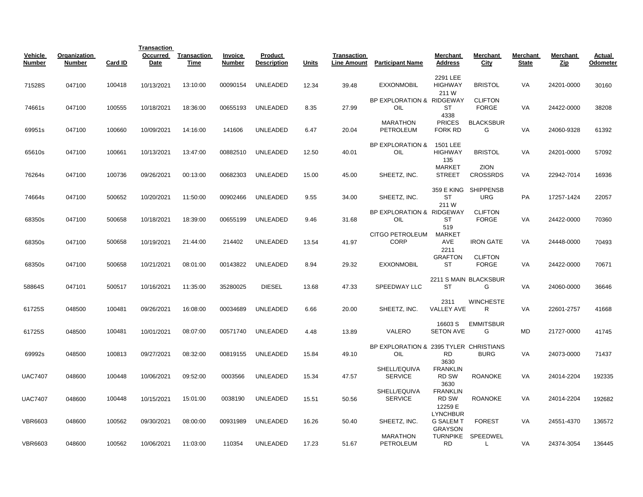|                          |                               |         | <b>Transaction</b> |                     |                   |                               |              |                                          |                                               |                                                       |                                |                          |                 |                    |
|--------------------------|-------------------------------|---------|--------------------|---------------------|-------------------|-------------------------------|--------------|------------------------------------------|-----------------------------------------------|-------------------------------------------------------|--------------------------------|--------------------------|-----------------|--------------------|
| Vehicle<br><b>Number</b> | Organization<br><b>Number</b> | Card ID | Occurred<br>Date   | Transaction<br>Time | Invoice<br>Number | Product<br><b>Description</b> | <b>Units</b> | <b>Transaction</b><br><b>Line Amount</b> | <b>Participant Name</b>                       | Merchant<br><b>Address</b>                            | Merchant<br><u>City</u>        | Merchant<br><b>State</b> | Merchant<br>Zip | Actual<br>Odometer |
| 71528S                   | 047100                        | 100418  | 10/13/2021         | 13:10:00            | 00090154          | <b>UNLEADED</b>               | 12.34        | 39.48                                    | <b>EXXONMOBIL</b>                             | 2291 LEE<br><b>HIGHWAY</b>                            | <b>BRISTOL</b>                 | VA                       | 24201-0000      | 30160              |
| 74661s                   | 047100                        | 100555  | 10/18/2021         | 18:36:00            | 00655193          | UNLEADED                      | 8.35         | 27.99                                    | BP EXPLORATION & RIDGEWAY<br>OIL              | 211 W<br><b>ST</b><br>4338                            | <b>CLIFTON</b><br><b>FORGE</b> | VA                       | 24422-0000      | 38208              |
| 69951s                   | 047100                        | 100660  | 10/09/2021         | 14:16:00            | 141606            | <b>UNLEADED</b>               | 6.47         | 20.04                                    | <b>MARATHON</b><br>PETROLEUM                  | <b>PRICES</b><br>FORK RD                              | <b>BLACKSBUR</b><br>G          | VA                       | 24060-9328      | 61392              |
| 65610s                   | 047100                        | 100661  | 10/13/2021         | 13:47:00            | 00882510          | <b>UNLEADED</b>               | 12.50        | 40.01                                    | <b>BP EXPLORATION &amp;</b><br>OIL            | 1501 LEE<br><b>HIGHWAY</b><br>135                     | <b>BRISTOL</b>                 | VA                       | 24201-0000      | 57092              |
| 76264s                   | 047100                        | 100736  | 09/26/2021         | 00:13:00            | 00682303          | UNLEADED                      | 15.00        | 45.00                                    | SHEETZ, INC.                                  | <b>MARKET</b><br><b>STREET</b>                        | <b>ZION</b><br><b>CROSSRDS</b> | VA                       | 22942-7014      | 16936              |
| 74664s                   | 047100                        | 500652  | 10/20/2021         | 11:50:00            | 00902466          | <b>UNLEADED</b>               | 9.55         | 34.00                                    | SHEETZ, INC.                                  | 359 E KING<br>ST<br>211 W                             | <b>SHIPPENSB</b><br><b>URG</b> | PA                       | 17257-1424      | 22057              |
| 68350s                   | 047100                        | 500658  | 10/18/2021         | 18:39:00            | 00655199          | <b>UNLEADED</b>               | 9.46         | 31.68                                    | BP EXPLORATION & RIDGEWAY<br>OIL              | <b>ST</b><br>519                                      | <b>CLIFTON</b><br><b>FORGE</b> | VA                       | 24422-0000      | 70360              |
| 68350s                   | 047100                        | 500658  | 10/19/2021         | 21:44:00            | 214402            | UNLEADED                      | 13.54        | 41.97                                    | CITGO PETROLEUM<br><b>CORP</b>                | <b>MARKET</b><br>AVE<br>2211                          | <b>IRON GATE</b>               | VA                       | 24448-0000      | 70493              |
| 68350s                   | 047100                        | 500658  | 10/21/2021         | 08:01:00            | 00143822          | <b>UNLEADED</b>               | 8.94         | 29.32                                    | <b>EXXONMOBIL</b>                             | <b>GRAFTON</b><br>ST                                  | <b>CLIFTON</b><br><b>FORGE</b> | VA                       | 24422-0000      | 70671              |
| 58864S                   | 047101                        | 500517  | 10/16/2021         | 11:35:00            | 35280025          | <b>DIESEL</b>                 | 13.68        | 47.33                                    | <b>SPEEDWAY LLC</b>                           | <b>ST</b>                                             | 2211 S MAIN BLACKSBUR<br>G     | VA                       | 24060-0000      | 36646              |
| 61725S                   | 048500                        | 100481  | 09/26/2021         | 16:08:00            | 00034689          | <b>UNLEADED</b>               | 6.66         | 20.00                                    | SHEETZ, INC.                                  | 2311<br><b>VALLEY AVE</b>                             | <b>WINCHESTE</b><br>R.         | VA                       | 22601-2757      | 41668              |
| 61725S                   | 048500                        | 100481  | 10/01/2021         | 08:07:00            | 00571740          | <b>UNLEADED</b>               | 4.48         | 13.89                                    | VALERO                                        | 16603 S<br><b>SETON AVE</b>                           | <b>EMMITSBUR</b><br>G          | <b>MD</b>                | 21727-0000      | 41745              |
| 69992s                   | 048500                        | 100813  | 09/27/2021         | 08:32:00            | 00819155          | UNLEADED                      | 15.84        | 49.10                                    | BP EXPLORATION & 2395 TYLER CHRISTIANS<br>OIL | <b>RD</b><br>3630                                     | <b>BURG</b>                    | VA                       | 24073-0000      | 71437              |
| <b>UAC7407</b>           | 048600                        | 100448  | 10/06/2021         | 09:52:00            | 0003566           | <b>UNLEADED</b>               | 15.34        | 47.57                                    | SHELL/EQUIVA<br><b>SERVICE</b>                | <b>FRANKLIN</b><br>RD SW<br>3630                      | <b>ROANOKE</b>                 | VA                       | 24014-2204      | 192335             |
| <b>UAC7407</b>           | 048600                        | 100448  | 10/15/2021         | 15:01:00            | 0038190           | UNLEADED                      | 15.51        | 50.56                                    | SHELL/EQUIVA<br><b>SERVICE</b>                | <b>FRANKLIN</b><br>RD SW<br>12259 E                   | <b>ROANOKE</b>                 | VA                       | 24014-2204      | 192682             |
| VBR6603                  | 048600                        | 100562  | 09/30/2021         | 08:00:00            | 00931989          | <b>UNLEADED</b>               | 16.26        | 50.40                                    | SHEETZ, INC.                                  | <b>LYNCHBUR</b><br><b>G SALEM T</b><br><b>GRAYSON</b> | <b>FOREST</b>                  | VA                       | 24551-4370      | 136572             |
| VBR6603                  | 048600                        | 100562  | 10/06/2021         | 11:03:00            | 110354            | UNLEADED                      | 17.23        | 51.67                                    | MARATHON<br>PETROLEUM                         | <b>TURNPIKE</b><br><b>RD</b>                          | SPEEDWEL<br>L                  | VA                       | 24374-3054      | 136445             |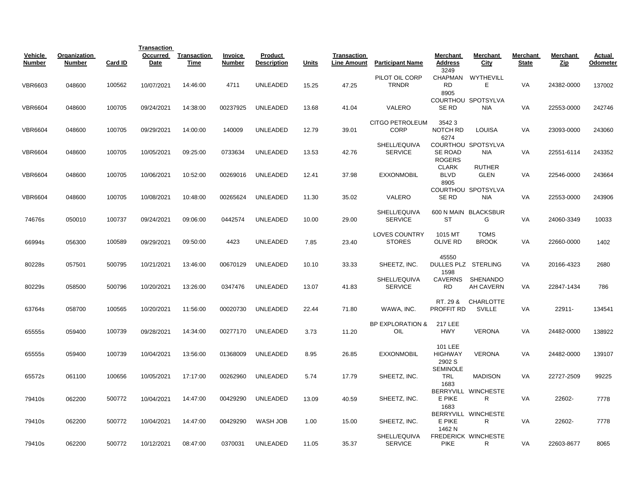|                          |                        |         | <b>Transaction</b> |                     |                          |                               |              |                                   |                                       |                                      |                                   |                          |                 |                    |
|--------------------------|------------------------|---------|--------------------|---------------------|--------------------------|-------------------------------|--------------|-----------------------------------|---------------------------------------|--------------------------------------|-----------------------------------|--------------------------|-----------------|--------------------|
| Vehicle<br><b>Number</b> | Organization<br>Number | Card ID | Occurred<br>Date   | Transaction<br>Time | Invoice<br><b>Number</b> | Product<br><b>Description</b> | <b>Units</b> | Transaction<br><b>Line Amount</b> | <b>Participant Name</b>               | Merchant<br><b>Address</b>           | Merchant<br>City                  | Merchant<br><b>State</b> | Merchant<br>Zip | Actual<br>Odometer |
| <b>VBR6603</b>           | 048600                 | 100562  | 10/07/2021         | 14:46:00            | 4711                     | <b>UNLEADED</b>               | 15.25        | 47.25                             | PILOT OIL CORP<br><b>TRNDR</b>        | 3249<br><b>RD</b><br>8905            | CHAPMAN WYTHEVILL<br>Е            | VA                       | 24382-0000      | 137002             |
| <b>VBR6604</b>           | 048600                 | 100705  | 09/24/2021         | 14:38:00            | 00237925                 | UNLEADED                      | 13.68        | 41.04                             | VALERO                                | SE RD                                | COURTHOU SPOTSYLVA<br><b>NIA</b>  | VA                       | 22553-0000      | 242746             |
| <b>VBR6604</b>           | 048600                 | 100705  | 09/29/2021         | 14:00:00            | 140009                   | <b>UNLEADED</b>               | 12.79        | 39.01                             | CITGO PETROLEUM<br>CORP               | 35423<br>NOTCH RD<br>6274            | <b>LOUISA</b>                     | VA                       | 23093-0000      | 243060             |
| <b>VBR6604</b>           | 048600                 | 100705  | 10/05/2021         | 09:25:00            | 0733634                  | <b>UNLEADED</b>               | 13.53        | 42.76                             | SHELL/EQUIVA<br><b>SERVICE</b>        | SE ROAD<br><b>ROGERS</b>             | COURTHOU SPOTSYLVA<br><b>NIA</b>  | VA                       | 22551-6114      | 243352             |
| <b>VBR6604</b>           | 048600                 | 100705  | 10/06/2021         | 10:52:00            | 00269016                 | UNLEADED                      | 12.41        | 37.98                             | <b>EXXONMOBIL</b>                     | <b>CLARK</b><br><b>BLVD</b><br>8905  | <b>RUTHER</b><br><b>GLEN</b>      | VA                       | 22546-0000      | 243664             |
| <b>VBR6604</b>           | 048600                 | 100705  | 10/08/2021         | 10:48:00            | 00265624                 | <b>UNLEADED</b>               | 11.30        | 35.02                             | VALERO                                | SE RD                                | COURTHOU SPOTSYLVA<br><b>NIA</b>  | VA                       | 22553-0000      | 243906             |
| 74676s                   | 050010                 | 100737  | 09/24/2021         | 09:06:00            | 0442574                  | UNLEADED                      | 10.00        | 29.00                             | SHELL/EQUIVA<br><b>SERVICE</b>        | <b>ST</b>                            | 600 N MAIN BLACKSBUR<br>G         | VA                       | 24060-3349      | 10033              |
| 66994s                   | 056300                 | 100589  | 09/29/2021         | 09:50:00            | 4423                     | UNLEADED                      | 7.85         | 23.40                             | <b>LOVES COUNTRY</b><br><b>STORES</b> | 1015 MT<br><b>OLIVE RD</b>           | <b>TOMS</b><br><b>BROOK</b>       | VA                       | 22660-0000      | 1402               |
| 80228s                   | 057501                 | 500795  | 10/21/2021         | 13:46:00            | 00670129                 | <b>UNLEADED</b>               | 10.10        | 33.33                             | SHEETZ, INC.                          | 45550<br>DULLES PLZ STERLING<br>1598 |                                   | VA                       | 20166-4323      | 2680               |
| 80229s                   | 058500                 | 500796  | 10/20/2021         | 13:26:00            | 0347476                  | <b>UNLEADED</b>               | 13.07        | 41.83                             | SHELL/EQUIVA<br><b>SERVICE</b>        | <b>CAVERNS</b><br>RD                 | SHENANDO<br><b>AH CAVERN</b>      | VA                       | 22847-1434      | 786                |
| 63764s                   | 058700                 | 100565  | 10/20/2021         | 11:56:00            | 00020730                 | <b>UNLEADED</b>               | 22.44        | 71.80                             | WAWA, INC.                            | RT. 29 &<br>PROFFIT RD               | <b>CHARLOTTE</b><br><b>SVILLE</b> | VA                       | 22911-          | 134541             |
| 65555s                   | 059400                 | 100739  | 09/28/2021         | 14:34:00            | 00277170                 | UNLEADED                      | 3.73         | 11.20                             | <b>BP EXPLORATION &amp;</b><br>OIL    | <b>217 LEE</b><br><b>HWY</b>         | <b>VERONA</b>                     | VA                       | 24482-0000      | 138922             |
| 65555s                   | 059400                 | 100739  | 10/04/2021         | 13:56:00            | 01368009                 | UNLEADED                      | 8.95         | 26.85                             | <b>EXXONMOBIL</b>                     | 101 LEE<br><b>HIGHWAY</b><br>2902 S  | <b>VERONA</b>                     | <b>VA</b>                | 24482-0000      | 139107             |
| 65572s                   | 061100                 | 100656  | 10/05/2021         | 17:17:00            | 00262960                 | <b>UNLEADED</b>               | 5.74         | 17.79                             | SHEETZ, INC.                          | <b>SEMINOLE</b><br>TRL<br>1683       | <b>MADISON</b>                    | VA                       | 22727-2509      | 99225              |
| 79410s                   | 062200                 | 500772  | 10/04/2021         | 14:47:00            | 00429290                 | <b>UNLEADED</b>               | 13.09        | 40.59                             | SHEETZ, INC.                          | E PIKE<br>1683                       | BERRYVILL WINCHESTE<br>R          | VA                       | 22602-          | 7778               |
| 79410s                   | 062200                 | 500772  | 10/04/2021         | 14:47:00            | 00429290                 | WASH JOB                      | 1.00         | 15.00                             | SHEETZ, INC.                          | E PIKE<br>1462 N                     | BERRYVILL WINCHESTE<br>R          | VA                       | 22602-          | 7778               |
| 79410s                   | 062200                 | 500772  | 10/12/2021         | 08:47:00            | 0370031                  | <b>UNLEADED</b>               | 11.05        | 35.37                             | SHELL/EQUIVA<br><b>SERVICE</b>        | <b>PIKE</b>                          | <b>FREDERICK WINCHESTE</b><br>R   | VA                       | 22603-8677      | 8065               |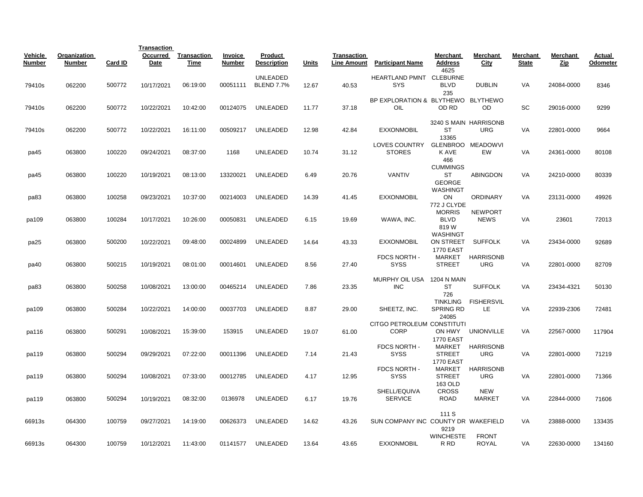|                   |                               |         | <b>Transaction</b> |                            |                   |                               |       |                                   |                                       |                                     |                                |                          |                 |                    |
|-------------------|-------------------------------|---------|--------------------|----------------------------|-------------------|-------------------------------|-------|-----------------------------------|---------------------------------------|-------------------------------------|--------------------------------|--------------------------|-----------------|--------------------|
| Vehicle<br>Number | Organization<br><b>Number</b> | Card ID | Occurred<br>Date   | <b>Transaction</b><br>Time | Invoice<br>Number | Product<br><b>Description</b> | Units | Transaction<br><b>Line Amount</b> | <b>Participant Name</b>               | Merchant<br><b>Address</b><br>4625  | Merchant<br>City               | Merchant<br><b>State</b> | Merchant<br>Zip | Actual<br>Odometer |
|                   |                               |         |                    |                            |                   | UNLEADED                      |       |                                   | HEARTLAND PMNT CLEBURNE               |                                     |                                |                          |                 |                    |
| 79410s            | 062200                        | 500772  | 10/17/2021         | 06:19:00                   | 00051111          | <b>BLEND 7.7%</b>             | 12.67 | 40.53                             | <b>SYS</b>                            | BLVD                                | <b>DUBLIN</b>                  | VA                       | 24084-0000      | 8346               |
|                   |                               |         |                    |                            |                   |                               |       |                                   | BP EXPLORATION & BLYTHEWO BLYTHEWO    | 235                                 |                                |                          |                 |                    |
| 79410s            | 062200                        | 500772  | 10/22/2021         | 10:42:00                   | 00124075          | UNLEADED                      | 11.77 | 37.18                             | OIL                                   | OD RD                               | OD                             | SC                       | 29016-0000      | 9299               |
|                   |                               |         |                    |                            |                   |                               |       |                                   |                                       |                                     | 3240 S MAIN HARRISONB          |                          |                 |                    |
| 79410s            | 062200                        | 500772  | 10/22/2021         | 16:11:00                   | 00509217          | <b>UNLEADED</b>               | 12.98 | 42.84                             | <b>EXXONMOBIL</b>                     | ST                                  | <b>URG</b>                     | VA                       | 22801-0000      | 9664               |
|                   |                               |         |                    |                            |                   |                               |       |                                   |                                       | 13365                               |                                |                          |                 |                    |
| pa45              | 063800                        | 100220  | 09/24/2021         | 08:37:00                   | 1168              | <b>UNLEADED</b>               | 10.74 | 31.12                             | <b>LOVES COUNTRY</b><br><b>STORES</b> | K AVE                               | GLENBROO MEADOWVI<br><b>EW</b> | VA                       | 24361-0000      | 80108              |
|                   |                               |         |                    |                            |                   |                               |       |                                   |                                       | 466                                 |                                |                          |                 |                    |
|                   |                               |         |                    |                            |                   |                               |       |                                   |                                       | <b>CUMMINGS</b>                     |                                |                          |                 |                    |
| pa45              | 063800                        | 100220  | 10/19/2021         | 08:13:00                   | 13320021          | <b>UNLEADED</b>               | 6.49  | 20.76                             | <b>VANTIV</b>                         | ST                                  | <b>ABINGDON</b>                | VA                       | 24210-0000      | 80339              |
|                   |                               |         |                    |                            |                   |                               |       |                                   |                                       | <b>GEORGE</b><br>WASHINGT           |                                |                          |                 |                    |
| pa83              | 063800                        | 100258  | 09/23/2021         | 10:37:00                   | 00214003          | <b>UNLEADED</b>               | 14.39 | 41.45                             | <b>EXXONMOBIL</b>                     | ON                                  | <b>ORDINARY</b>                | VA                       | 23131-0000      | 49926              |
|                   |                               |         |                    |                            |                   |                               |       |                                   |                                       | 772 J CLYDE                         |                                |                          |                 |                    |
|                   |                               |         |                    |                            |                   |                               |       |                                   |                                       | <b>MORRIS</b>                       | <b>NEWPORT</b>                 |                          |                 |                    |
| pa109             | 063800                        | 100284  | 10/17/2021         | 10:26:00                   | 00050831          | <b>UNLEADED</b>               | 6.15  | 19.69                             | WAWA, INC.                            | BLVD                                | <b>NEWS</b>                    | VA                       | 23601           | 72013              |
|                   |                               |         |                    |                            |                   |                               |       |                                   |                                       | 819W<br>WASHINGT                    |                                |                          |                 |                    |
| pa25              | 063800                        | 500200  | 10/22/2021         | 09:48:00                   | 00024899          | UNLEADED                      | 14.64 | 43.33                             | <b>EXXONMOBIL</b>                     | ON STREET                           | <b>SUFFOLK</b>                 | VA                       | 23434-0000      | 92689              |
|                   |                               |         |                    |                            |                   |                               |       |                                   |                                       | <b>1770 EAST</b>                    |                                |                          |                 |                    |
|                   |                               |         |                    |                            |                   |                               |       |                                   | FDCS NORTH -                          | MARKET                              | <b>HARRISONB</b>               |                          |                 |                    |
| pa40              | 063800                        | 500215  | 10/19/2021         | 08:01:00                   | 00014601          | <b>UNLEADED</b>               | 8.56  | 27.40                             | <b>SYSS</b>                           | <b>STREET</b>                       | <b>URG</b>                     | VA                       | 22801-0000      | 82709              |
|                   |                               |         |                    |                            |                   |                               |       |                                   | <b>MURPHY OIL USA</b>                 | 1204 N MAIN                         |                                |                          |                 |                    |
| pa83              | 063800                        | 500258  | 10/08/2021         | 13:00:00                   | 00465214          | <b>UNLEADED</b>               | 7.86  | 23.35                             | <b>INC</b>                            | ST                                  | <b>SUFFOLK</b>                 | VA                       | 23434-4321      | 50130              |
|                   |                               |         |                    |                            |                   |                               |       |                                   |                                       | 726                                 |                                |                          |                 |                    |
| pa109             | 063800                        | 500284  | 10/22/2021         | 14:00:00                   | 00037703          | <b>UNLEADED</b>               | 8.87  | 29.00                             | SHEETZ, INC.                          | <b>TINKLING</b><br><b>SPRING RD</b> | <b>FISHERSVIL</b><br>LE        | VA                       | 22939-2306      | 72481              |
|                   |                               |         |                    |                            |                   |                               |       |                                   |                                       | 24085                               |                                |                          |                 |                    |
|                   |                               |         |                    |                            |                   |                               |       |                                   | CITGO PETROLEUM CONSTITUTI            |                                     |                                |                          |                 |                    |
| pa116             | 063800                        | 500291  | 10/08/2021         | 15:39:00                   | 153915            | UNLEADED                      | 19.07 | 61.00                             | CORP                                  | ON HWY                              | <b>UNIONVILLE</b>              | VA                       | 22567-0000      | 117904             |
|                   |                               |         |                    |                            |                   |                               |       |                                   | FDCS NORTH -                          | <b>1770 EAST</b><br><b>MARKET</b>   | <b>HARRISONB</b>               |                          |                 |                    |
| pa119             | 063800                        | 500294  | 09/29/2021         | 07:22:00                   | 00011396          | <b>UNLEADED</b>               | 7.14  | 21.43                             | <b>SYSS</b>                           | <b>STREET</b>                       | <b>URG</b>                     | VA                       | 22801-0000      | 71219              |
|                   |                               |         |                    |                            |                   |                               |       |                                   |                                       | <b>1770 EAST</b>                    |                                |                          |                 |                    |
|                   |                               |         |                    |                            |                   |                               |       |                                   | FDCS NORTH -                          | MARKET                              | <b>HARRISONB</b>               |                          |                 |                    |
| pa119             | 063800                        | 500294  | 10/08/2021         | 07:33:00                   | 00012785          | <b>UNLEADED</b>               | 4.17  | 12.95                             | <b>SYSS</b>                           | <b>STREET</b>                       | <b>URG</b>                     | VA                       | 22801-0000      | 71366              |
|                   |                               |         |                    |                            |                   |                               |       |                                   | SHELL/EQUIVA                          | 163 OLD<br><b>CROSS</b>             | <b>NEW</b>                     |                          |                 |                    |
| pa119             | 063800                        | 500294  | 10/19/2021         | 08:32:00                   | 0136978           | <b>UNLEADED</b>               | 6.17  | 19.76                             | <b>SERVICE</b>                        | <b>ROAD</b>                         | <b>MARKET</b>                  | VA                       | 22844-0000      | 71606              |
|                   |                               |         |                    |                            |                   |                               |       |                                   |                                       |                                     |                                |                          |                 |                    |
|                   |                               |         |                    |                            |                   |                               |       |                                   |                                       | 111 S                               |                                |                          |                 |                    |
| 66913s            | 064300                        | 100759  | 09/27/2021         | 14:19:00                   | 00626373          | <b>UNLEADED</b>               | 14.62 | 43.26                             | SUN COMPANY INC COUNTY DR WAKEFIELD   | 9219                                |                                | VA                       | 23888-0000      | 133435             |
|                   |                               |         |                    |                            |                   |                               |       |                                   |                                       | <b>WINCHESTE</b>                    | <b>FRONT</b>                   |                          |                 |                    |
| 66913s            | 064300                        | 100759  | 10/12/2021         | 11:43:00                   | 01141577          | <b>UNLEADED</b>               | 13.64 | 43.65                             | <b>EXXONMOBIL</b>                     | R RD                                | <b>ROYAL</b>                   | VA                       | 22630-0000      | 134160             |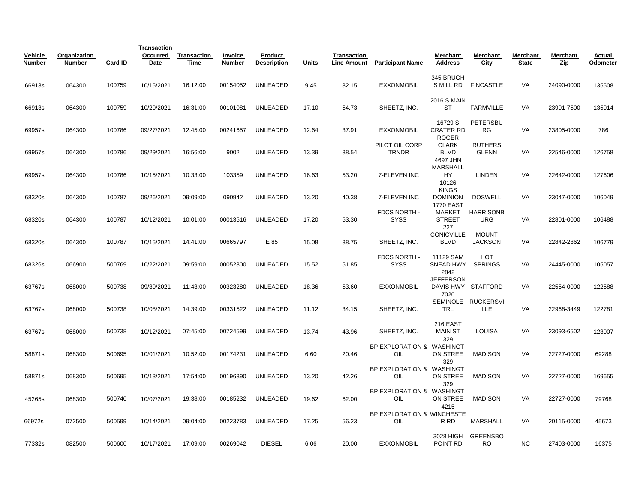|                   |                               |         | <b>Transaction</b> |                            |                   |                               |       |                                          |                                   |                                                         |                                |                          |                        |                    |
|-------------------|-------------------------------|---------|--------------------|----------------------------|-------------------|-------------------------------|-------|------------------------------------------|-----------------------------------|---------------------------------------------------------|--------------------------------|--------------------------|------------------------|--------------------|
| Vehicle<br>Number | Organization<br><b>Number</b> | Card ID | Occurred<br>Date   | <b>Transaction</b><br>Time | Invoice<br>Number | Product<br><b>Description</b> | Units | <b>Transaction</b><br><b>Line Amount</b> | <b>Participant Name</b>           | Merchant<br><b>Address</b>                              | Merchant<br>City               | Merchant<br><b>State</b> | Merchant<br><u>Zip</u> | Actual<br>Odometer |
| 66913s            | 064300                        | 100759  | 10/15/2021         | 16:12:00                   | 00154052          | UNLEADED                      | 9.45  | 32.15                                    | <b>EXXONMOBIL</b>                 | 345 BRUGH<br>S MILL RD                                  | <b>FINCASTLE</b>               | VA                       | 24090-0000             | 135508             |
| 66913s            | 064300                        | 100759  | 10/20/2021         | 16:31:00                   | 00101081          | <b>UNLEADED</b>               | 17.10 | 54.73                                    | SHEETZ, INC.                      | <b>2016 S MAIN</b><br>ST                                | FARMVILLE                      | VA                       | 23901-7500             | 135014             |
| 69957s            | 064300                        | 100786  | 09/27/2021         | 12:45:00                   | 00241657          | UNLEADED                      | 12.64 | 37.91                                    | <b>EXXONMOBIL</b>                 | 16729 S<br><b>CRATER RD</b>                             | PETERSBU<br>RG                 | VA                       | 23805-0000             | 786                |
| 69957s            | 064300                        | 100786  | 09/29/2021         | 16:56:00                   | 9002              | <b>UNLEADED</b>               | 13.39 | 38.54                                    | PILOT OIL CORP<br><b>TRNDR</b>    | <b>ROGER</b><br><b>CLARK</b><br><b>BLVD</b><br>4697 JHN | <b>RUTHERS</b><br><b>GLENN</b> | VA                       | 22546-0000             | 126758             |
| 69957s            | 064300                        | 100786  | 10/15/2021         | 10:33:00                   | 103359            | <b>UNLEADED</b>               | 16.63 | 53.20                                    | 7-ELEVEN INC                      | <b>MARSHALL</b><br>HY<br>10126                          | <b>LINDEN</b>                  | VA                       | 22642-0000             | 127606             |
| 68320s            | 064300                        | 100787  | 09/26/2021         | 09:09:00                   | 090942            | <b>UNLEADED</b>               | 13.20 | 40.38                                    | 7-ELEVEN INC                      | <b>KINGS</b><br><b>DOMINION</b><br><b>1770 EAST</b>     | <b>DOSWELL</b>                 | VA                       | 23047-0000             | 106049             |
| 68320s            | 064300                        | 100787  | 10/12/2021         | 10:01:00                   | 00013516          | <b>UNLEADED</b>               | 17.20 | 53.30                                    | FDCS NORTH -<br><b>SYSS</b>       | MARKET<br><b>STREET</b><br>227                          | <b>HARRISONB</b><br><b>URG</b> | VA                       | 22801-0000             | 106488             |
| 68320s            | 064300                        | 100787  | 10/15/2021         | 14:41:00                   | 00665797          | E 85                          | 15.08 | 38.75                                    | SHEETZ, INC.                      | <b>CONICVILLE</b><br><b>BLVD</b>                        | <b>MOUNT</b><br><b>JACKSON</b> | <b>VA</b>                | 22842-2862             | 106779             |
| 68326s            | 066900                        | 500769  | 10/22/2021         | 09:59:00                   | 00052300          | <b>UNLEADED</b>               | 15.52 | 51.85                                    | FDCS NORTH -<br><b>SYSS</b>       | 11129 SAM<br>SNEAD HWY<br>2842                          | <b>HOT</b><br><b>SPRINGS</b>   | VA                       | 24445-0000             | 105057             |
| 63767s            | 068000                        | 500738  | 09/30/2021         | 11:43:00                   | 00323280          | <b>UNLEADED</b>               | 18.36 | 53.60                                    | <b>EXXONMOBIL</b>                 | <b>JEFFERSON</b><br>7020                                | DAVIS HWY STAFFORD             | VA                       | 22554-0000             | 122588             |
| 63767s            | 068000                        | 500738  | 10/08/2021         | 14:39:00                   | 00331522          | UNLEADED                      | 11.12 | 34.15                                    | SHEETZ, INC.                      | <b>TRL</b>                                              | SEMINOLE RUCKERSVI<br>LLE      | VA                       | 22968-3449             | 122781             |
| 63767s            | 068000                        | 500738  | 10/12/2021         | 07:45:00                   | 00724599          | <b>UNLEADED</b>               | 13.74 | 43.96                                    | SHEETZ, INC.                      | 216 EAST<br><b>MAIN ST</b><br>329                       | <b>LOUISA</b>                  | VA                       | 23093-6502             | 123007             |
| 58871s            | 068300                        | 500695  | 10/01/2021         | 10:52:00                   | 00174231          | <b>UNLEADED</b>               | 6.60  | 20.46                                    | BP EXPLORATION & WASHINGT<br>OIL  | ON STREE<br>329                                         | <b>MADISON</b>                 | VA                       | 22727-0000             | 69288              |
| 58871s            | 068300                        | 500695  | 10/13/2021         | 17:54:00                   | 00196390          | <b>UNLEADED</b>               | 13.20 | 42.26                                    | BP EXPLORATION & WASHINGT<br>OIL  | ON STREE<br>329                                         | <b>MADISON</b>                 | VA                       | 22727-0000             | 169655             |
| 45265s            | 068300                        | 500740  | 10/07/2021         | 19:38:00                   | 00185232          | <b>UNLEADED</b>               | 19.62 | 62.00                                    | BP EXPLORATION & WASHINGT<br>OIL  | ON STREE<br>4215                                        | <b>MADISON</b>                 | VA                       | 22727-0000             | 79768              |
| 66972s            | 072500                        | 500599  | 10/14/2021         | 09:04:00                   | 00223783          | <b>UNLEADED</b>               | 17.25 | 56.23                                    | BP EXPLORATION & WINCHESTE<br>OIL | R RD                                                    | <b>MARSHALL</b>                | VA                       | 20115-0000             | 45673              |
| 77332s            | 082500                        | 500600  | 10/17/2021         | 17:09:00                   | 00269042          | <b>DIESEL</b>                 | 6.06  | 20.00                                    | <b>EXXONMOBIL</b>                 | 3028 HIGH<br>POINT RD                                   | <b>GREENSBO</b><br><b>RO</b>   | <b>NC</b>                | 27403-0000             | 16375              |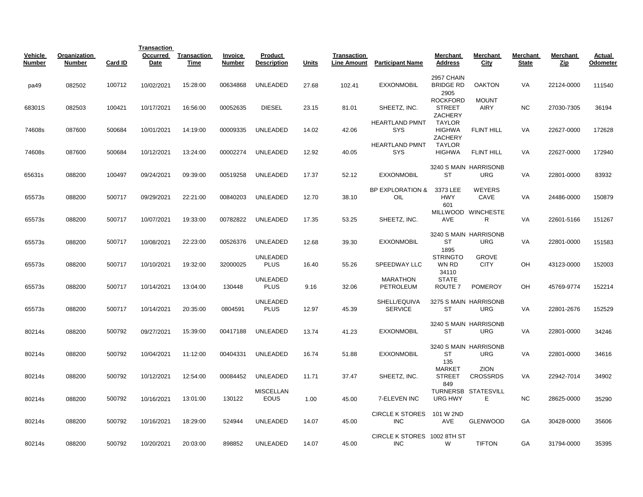|                          |                               |         | <b>Transaction</b> |                            |                   |                                 |              |                                          |                                           |                                                     |                                     |                          |                 |                    |
|--------------------------|-------------------------------|---------|--------------------|----------------------------|-------------------|---------------------------------|--------------|------------------------------------------|-------------------------------------------|-----------------------------------------------------|-------------------------------------|--------------------------|-----------------|--------------------|
| Vehicle<br><b>Number</b> | Organization<br><b>Number</b> | Card ID | Occurred<br>Date   | <b>Transaction</b><br>Time | Invoice<br>Number | Product<br><b>Description</b>   | <b>Units</b> | <b>Transaction</b><br><b>Line Amount</b> | <b>Participant Name</b>                   | <b>Merchant</b><br><b>Address</b>                   | Merchant<br>City                    | Merchant<br><b>State</b> | Merchant<br>Zip | Actual<br>Odometer |
| pa49                     | 082502                        | 100712  | 10/02/2021         | 15:28:00                   | 00634868          | UNLEADED                        | 27.68        | 102.41                                   | <b>EXXONMOBIL</b>                         | 2957 CHAIN<br><b>BRIDGE RD</b>                      | <b>OAKTON</b>                       | VA                       | 22124-0000      | 111540             |
| 68301S                   | 082503                        | 100421  | 10/17/2021         | 16:56:00                   | 00052635          | <b>DIESEL</b>                   | 23.15        | 81.01                                    | SHEETZ, INC.                              | 2905<br><b>ROCKFORD</b><br><b>STREET</b><br>ZACHERY | <b>MOUNT</b><br><b>AIRY</b>         | <b>NC</b>                | 27030-7305      | 36194              |
| 74608s                   | 087600                        | 500684  | 10/01/2021         | 14:19:00                   | 00009335          | UNLEADED                        | 14.02        | 42.06                                    | <b>HEARTLAND PMNT</b><br><b>SYS</b>       | <b>TAYLOR</b><br><b>HIGHWA</b><br>ZACHERY           | <b>FLINT HILL</b>                   | VA                       | 22627-0000      | 172628             |
| 74608s                   | 087600                        | 500684  | 10/12/2021         | 13:24:00                   | 00002274          | UNLEADED                        | 12.92        | 40.05                                    | <b>HEARTLAND PMNT</b><br><b>SYS</b>       | <b>TAYLOR</b><br><b>HIGHWA</b>                      | <b>FLINT HILL</b>                   | VA                       | 22627-0000      | 172940             |
|                          |                               |         |                    |                            |                   |                                 |              |                                          |                                           |                                                     | 3240 S MAIN HARRISONB               |                          |                 |                    |
| 65631s                   | 088200                        | 100497  | 09/24/2021         | 09:39:00                   | 00519258          | <b>UNLEADED</b>                 | 17.37        | 52.12                                    | <b>EXXONMOBIL</b>                         | ST                                                  | <b>URG</b>                          | VA                       | 22801-0000      | 83932              |
| 65573s                   | 088200                        | 500717  | 09/29/2021         | 22:21:00                   | 00840203          | UNLEADED                        | 12.70        | 38.10                                    | <b>BP EXPLORATION &amp;</b><br>OIL        | 3373 LEE<br><b>HWY</b><br>601                       | <b>WEYERS</b><br>CAVE               | VA                       | 24486-0000      | 150879             |
| 65573s                   | 088200                        | 500717  | 10/07/2021         | 19:33:00                   | 00782822          | <b>UNLEADED</b>                 | 17.35        | 53.25                                    | SHEETZ, INC.                              | <b>AVE</b>                                          | MILLWOOD WINCHESTE<br>R             | VA                       | 22601-5166      | 151267             |
| 65573s                   | 088200                        | 500717  | 10/08/2021         | 22:23:00                   | 00526376          | UNLEADED                        | 12.68        | 39.30                                    | <b>EXXONMOBIL</b>                         | ST<br>1895                                          | 3240 S MAIN HARRISONB<br><b>URG</b> | VA                       | 22801-0000      | 151583             |
| 65573s                   | 088200                        | 500717  | 10/10/2021         | 19:32:00                   | 32000025          | UNLEADED<br><b>PLUS</b>         | 16.40        | 55.26                                    | <b>SPEEDWAY LLC</b>                       | <b>STRINGTO</b><br>WN RD<br>34110                   | <b>GROVE</b><br><b>CITY</b>         | OH                       | 43123-0000      | 152003             |
| 65573s                   | 088200                        | 500717  | 10/14/2021         | 13:04:00                   | 130448            | <b>UNLEADED</b><br><b>PLUS</b>  | 9.16         | 32.06                                    | <b>MARATHON</b><br>PETROLEUM              | <b>STATE</b><br>ROUTE <sub>7</sub>                  | <b>POMEROY</b>                      | OH                       | 45769-9774      | 152214             |
| 65573s                   | 088200                        | 500717  | 10/14/2021         | 20:35:00                   | 0804591           | <b>UNLEADED</b><br><b>PLUS</b>  | 12.97        | 45.39                                    | SHELL/EQUIVA<br><b>SERVICE</b>            | ST                                                  | 3275 S MAIN HARRISONB<br><b>URG</b> | VA                       | 22801-2676      | 152529             |
| 80214s                   | 088200                        | 500792  | 09/27/2021         | 15:39:00                   | 00417188          | UNLEADED                        | 13.74        | 41.23                                    | <b>EXXONMOBIL</b>                         | <b>ST</b>                                           | 3240 S MAIN HARRISONB<br><b>URG</b> | VA                       | 22801-0000      | 34246              |
| 80214s                   | 088200                        | 500792  | 10/04/2021         | 11:12:00                   | 00404331          | <b>UNLEADED</b>                 | 16.74        | 51.88                                    | <b>EXXONMOBIL</b>                         | ST<br>135                                           | 3240 S MAIN HARRISONB<br><b>URG</b> | VA                       | 22801-0000      | 34616              |
| 80214s                   | 088200                        | 500792  | 10/12/2021         | 12:54:00                   | 00084452          | UNLEADED                        | 11.71        | 37.47                                    | SHEETZ, INC.                              | <b>MARKET</b><br><b>STREET</b><br>849               | <b>ZION</b><br><b>CROSSRDS</b>      | VA                       | 22942-7014      | 34902              |
| 80214s                   | 088200                        | 500792  | 10/16/2021         | 13:01:00                   | 130122            | <b>MISCELLAN</b><br><b>EOUS</b> | 1.00         | 45.00                                    | 7-ELEVEN INC                              | <b>URG HWY</b>                                      | TURNERSB STATESVILL<br>E.           | <b>NC</b>                | 28625-0000      | 35290              |
| 80214s                   | 088200                        | 500792  | 10/16/2021         | 18:29:00                   | 524944            | <b>UNLEADED</b>                 | 14.07        | 45.00                                    | <b>CIRCLE K STORES</b><br><b>INC</b>      | 101 W 2ND<br><b>AVE</b>                             | <b>GLENWOOD</b>                     | GA                       | 30428-0000      | 35606              |
| 80214s                   | 088200                        | 500792  | 10/20/2021         | 20:03:00                   | 898852            | <b>UNLEADED</b>                 | 14.07        | 45.00                                    | CIRCLE K STORES 1002 8TH ST<br><b>INC</b> | W                                                   | <b>TIFTON</b>                       | GA                       | 31794-0000      | 35395              |